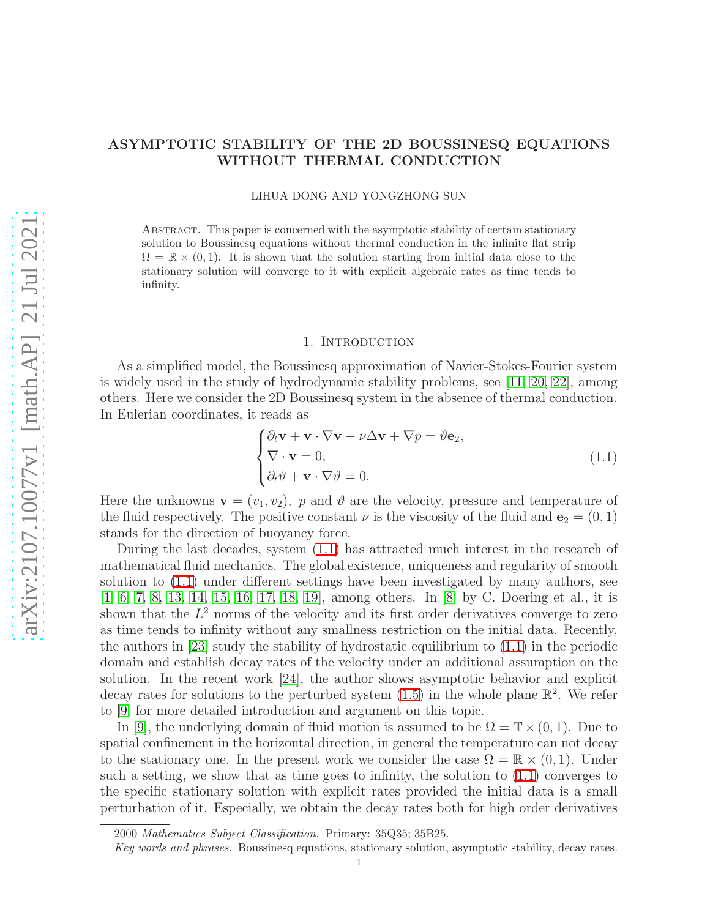# ASYMPTOTIC STABILITY OF THE 2D BOUSSINESQ EQUATIONS WITHOUT THERMAL CONDUCTION

#### LIHUA DONG AND YONGZHONG SUN

Abstract. This paper is concerned with the asymptotic stability of certain stationary solution to Boussinesq equations without thermal conduction in the infinite flat strip  $\Omega = \mathbb{R} \times (0, 1)$ . It is shown that the solution starting from initial data close to the stationary solution will converge to it with explicit algebraic rates as time tends to infinity.

#### 1. Introduction

As a simplified model, the Boussinesq approximation of Navier-Stokes-Fourier system is widely used in the study of hydrodynamic stability problems, see [\[11,](#page-24-0) [20,](#page-24-1) [22\]](#page-24-2), among others. Here we consider the 2D Boussinesq system in the absence of thermal conduction. In Eulerian coordinates, it reads as

<span id="page-0-0"></span>
$$
\begin{cases} \partial_t \mathbf{v} + \mathbf{v} \cdot \nabla \mathbf{v} - \nu \Delta \mathbf{v} + \nabla p = \vartheta \mathbf{e}_2, \\ \nabla \cdot \mathbf{v} = 0, \\ \partial_t \vartheta + \mathbf{v} \cdot \nabla \vartheta = 0. \end{cases}
$$
(1.1)

Here the unknowns  $\mathbf{v} = (v_1, v_2)$ , p and  $\vartheta$  are the velocity, pressure and temperature of the fluid respectively. The positive constant  $\nu$  is the viscosity of the fluid and  $e_2 = (0, 1)$ stands for the direction of buoyancy force.

During the last decades, system [\(1.1\)](#page-0-0) has attracted much interest in the research of mathematical fluid mechanics. The global existence, uniqueness and regularity of smooth solution to [\(1.1\)](#page-0-0) under different settings have been investigated by many authors, see [\[1,](#page-24-3) [6,](#page-24-4) [7,](#page-24-5) [8,](#page-24-6) [13,](#page-24-7) [14,](#page-24-8) [15,](#page-24-9) [16,](#page-24-10) [17,](#page-24-11) [18,](#page-24-12) [19\]](#page-24-13), among others. In [\[8\]](#page-24-6) by C. Doering et al., it is shown that the  $L^2$  norms of the velocity and its first order derivatives converge to zero as time tends to infinity without any smallness restriction on the initial data. Recently, the authors in [\[23\]](#page-24-14) study the stability of hydrostatic equilibrium to [\(1.1\)](#page-0-0) in the periodic domain and establish decay rates of the velocity under an additional assumption on the solution. In the recent work [\[24\]](#page-24-15), the author shows asymptotic behavior and explicit decay rates for solutions to the perturbed system  $(1.5)$  in the whole plane  $\mathbb{R}^2$ . We refer to [\[9\]](#page-24-16) for more detailed introduction and argument on this topic.

In [\[9\]](#page-24-16), the underlying domain of fluid motion is assumed to be  $\Omega = \mathbb{T} \times (0, 1)$ . Due to spatial confinement in the horizontal direction, in general the temperature can not decay to the stationary one. In the present work we consider the case  $\Omega = \mathbb{R} \times (0,1)$ . Under such a setting, we show that as time goes to infinity, the solution to [\(1.1\)](#page-0-0) converges to the specific stationary solution with explicit rates provided the initial data is a small perturbation of it. Especially, we obtain the decay rates both for high order derivatives

<sup>2000</sup> Mathematics Subject Classification. Primary: 35Q35; 35B25.

Key words and phrases. Boussinesq equations, stationary solution, asymptotic stability, decay rates.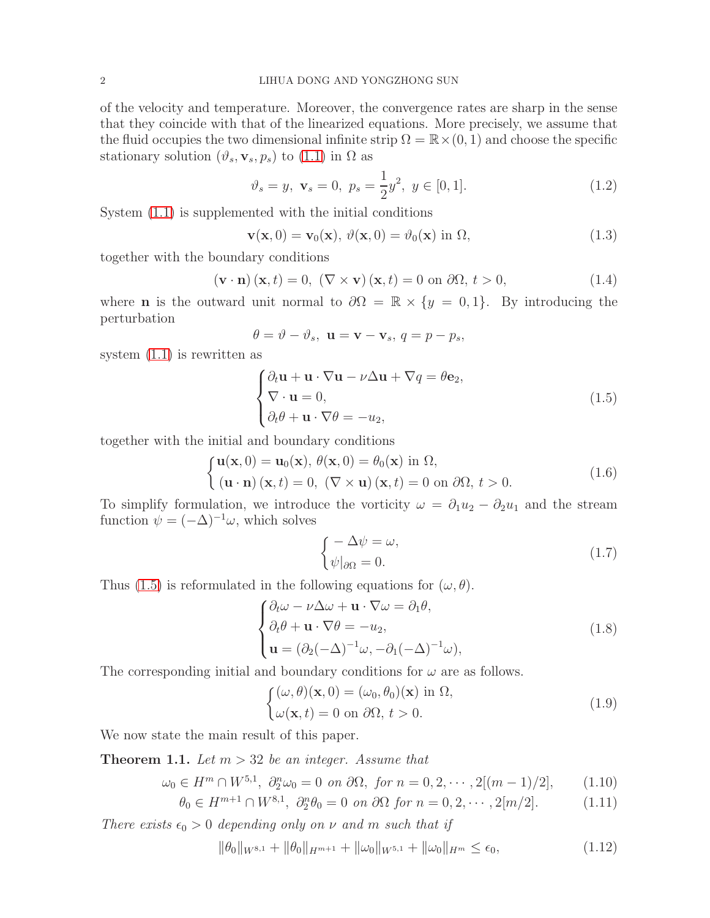of the velocity and temperature. Moreover, the convergence rates are sharp in the sense that they coincide with that of the linearized equations. More precisely, we assume that the fluid occupies the two dimensional infinite strip  $\Omega = \mathbb{R} \times (0, 1)$  and choose the specific stationary solution  $(\vartheta_s, \mathbf{v}_s, p_s)$  to  $(1.1)$  in  $\Omega$  as

<span id="page-1-3"></span>
$$
\vartheta_s = y, \ \mathbf{v}_s = 0, \ p_s = \frac{1}{2}y^2, \ y \in [0, 1]. \tag{1.2}
$$

System [\(1.1\)](#page-0-0) is supplemented with the initial conditions

<span id="page-1-4"></span>
$$
\mathbf{v}(\mathbf{x},0) = \mathbf{v}_0(\mathbf{x}), \ \vartheta(\mathbf{x},0) = \vartheta_0(\mathbf{x}) \text{ in } \Omega,
$$
 (1.3)

together with the boundary conditions

<span id="page-1-5"></span>
$$
(\mathbf{v} \cdot \mathbf{n}) (\mathbf{x}, t) = 0, \ (\nabla \times \mathbf{v}) (\mathbf{x}, t) = 0 \text{ on } \partial \Omega, t > 0,
$$
\n(1.4)

where **n** is the outward unit normal to  $\partial\Omega = \mathbb{R} \times \{y = 0, 1\}$ . By introducing the perturbation

$$
\theta = \vartheta - \vartheta_s, \ \mathbf{u} = \mathbf{v} - \mathbf{v}_s, \ q = p - p_s,
$$

system [\(1.1\)](#page-0-0) is rewritten as

<span id="page-1-0"></span>
$$
\begin{cases} \partial_t \mathbf{u} + \mathbf{u} \cdot \nabla \mathbf{u} - \nu \Delta \mathbf{u} + \nabla q = \theta \mathbf{e}_2, \\ \nabla \cdot \mathbf{u} = 0, \\ \partial_t \theta + \mathbf{u} \cdot \nabla \theta = -u_2, \end{cases}
$$
(1.5)

together with the initial and boundary conditions

$$
\begin{cases}\n\mathbf{u}(\mathbf{x},0) = \mathbf{u}_0(\mathbf{x}), \ \theta(\mathbf{x},0) = \theta_0(\mathbf{x}) \text{ in } \Omega, \\
(\mathbf{u} \cdot \mathbf{n})(\mathbf{x},t) = 0, \ (\nabla \times \mathbf{u})(\mathbf{x},t) = 0 \text{ on } \partial\Omega, \ t > 0.\n\end{cases}
$$
\n(1.6)

To simplify formulation, we introduce the vorticity  $\omega = \partial_1 u_2 - \partial_2 u_1$  and the stream function  $\psi = (-\Delta)^{-1}\omega$ , which solves

<span id="page-1-6"></span>
$$
\begin{cases}\n-\Delta \psi = \omega, \\
\psi|_{\partial \Omega} = 0.\n\end{cases}
$$
\n(1.7)

Thus [\(1.5\)](#page-1-0) is reformulated in the following equations for  $(\omega, \theta)$ .

<span id="page-1-1"></span>
$$
\begin{cases} \partial_t \omega - \nu \Delta \omega + \mathbf{u} \cdot \nabla \omega = \partial_1 \theta, \\ \partial_t \theta + \mathbf{u} \cdot \nabla \theta = -u_2, \\ \mathbf{u} = (\partial_2 (-\Delta)^{-1} \omega, -\partial_1 (-\Delta)^{-1} \omega), \end{cases}
$$
(1.8)

The corresponding initial and boundary conditions for  $\omega$  are as follows.

<span id="page-1-2"></span>
$$
\begin{cases}\n(\omega, \theta)(\mathbf{x}, 0) = (\omega_0, \theta_0)(\mathbf{x}) \text{ in } \Omega, \\
\omega(\mathbf{x}, t) = 0 \text{ on } \partial\Omega, \ t > 0.\n\end{cases}
$$
\n(1.9)

We now state the main result of this paper.

<span id="page-1-7"></span>**Theorem 1.1.** Let  $m > 32$  be an integer. Assume that

$$
\omega_0 \in H^m \cap W^{5,1}, \ \partial_2^n \omega_0 = 0 \ \text{on} \ \partial\Omega, \ \text{for} \ n = 0, 2, \cdots, 2[(m-1)/2], \tag{1.10}
$$

$$
\theta_0 \in H^{m+1} \cap W^{8,1}, \ \partial_2^n \theta_0 = 0 \ \text{on} \ \partial\Omega \ \text{for} \ n = 0, 2, \cdots, 2[m/2]. \tag{1.11}
$$

There exists  $\epsilon_0 > 0$  depending only on  $\nu$  and m such that if

$$
\|\theta_0\|_{W^{8,1}} + \|\theta_0\|_{H^{m+1}} + \|\omega_0\|_{W^{5,1}} + \|\omega_0\|_{H^m} \le \epsilon_0,\tag{1.12}
$$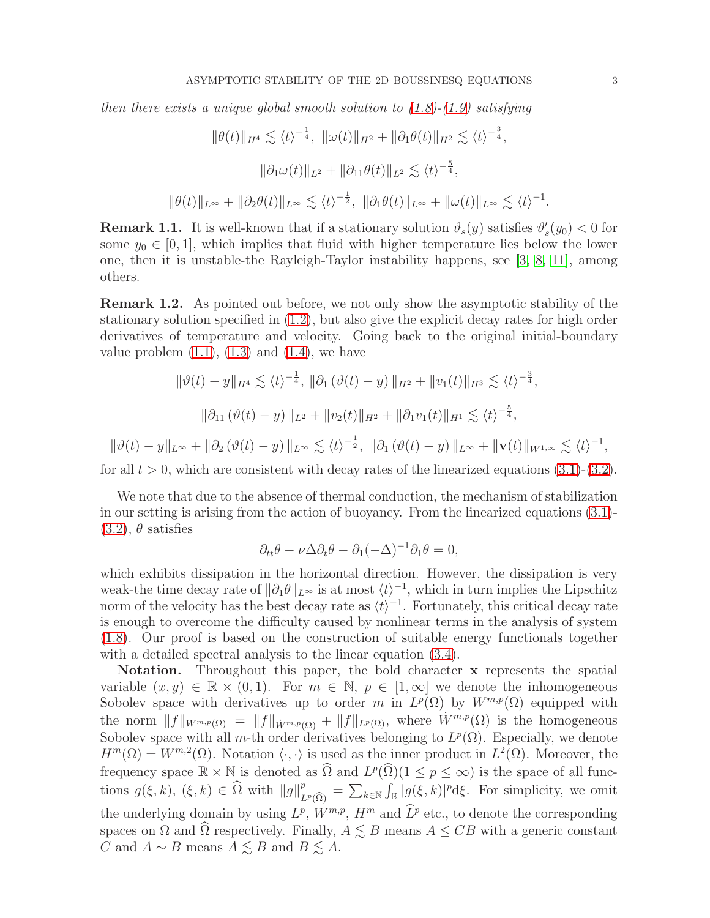then there exists a unique global smooth solution to  $(1.8)$ - $(1.9)$  satisfying

$$
\|\theta(t)\|_{H^4} \lesssim \langle t \rangle^{-\frac{1}{4}}, \ \|\omega(t)\|_{H^2} + \|\partial_1 \theta(t)\|_{H^2} \lesssim \langle t \rangle^{-\frac{3}{4}},
$$

$$
\|\partial_1 \omega(t)\|_{L^2} + \|\partial_{11} \theta(t)\|_{L^2} \lesssim \langle t \rangle^{-\frac{5}{4}},
$$

$$
\|\theta(t)\|_{L^\infty} + \|\partial_2 \theta(t)\|_{L^\infty} \lesssim \langle t \rangle^{-\frac{1}{2}}, \ \|\partial_1 \theta(t)\|_{L^\infty} + \|\omega(t)\|_{L^\infty} \lesssim \langle t \rangle^{-1}
$$

**Remark 1.1.** It is well-known that if a stationary solution  $\vartheta_s(y)$  satisfies  $\vartheta'_s(y_0) < 0$  for some  $y_0 \in [0, 1]$ , which implies that fluid with higher temperature lies below the lower one, then it is unstable-the Rayleigh-Taylor instability happens, see [\[3,](#page-24-17) [8,](#page-24-6) [11\]](#page-24-0), among others.

Remark 1.2. As pointed out before, we not only show the asymptotic stability of the stationary solution specified in [\(1.2\)](#page-1-3), but also give the explicit decay rates for high order derivatives of temperature and velocity. Going back to the original initial-boundary value problem  $(1.1)$ ,  $(1.3)$  and  $(1.4)$ , we have

$$
\|\vartheta(t) - y\|_{H^4} \lesssim \langle t \rangle^{-\frac{1}{4}}, \|\partial_1(\vartheta(t) - y)\|_{H^2} + \|v_1(t)\|_{H^3} \lesssim \langle t \rangle^{-\frac{3}{4}},
$$
  

$$
\|\partial_{11}(\vartheta(t) - y)\|_{L^2} + \|v_2(t)\|_{H^2} + \|\partial_1v_1(t)\|_{H^1} \lesssim \langle t \rangle^{-\frac{5}{4}},
$$

 $\|\vartheta(t)-y\|_{L^{\infty}} + \|\partial_2 (\vartheta(t)-y)\|_{L^{\infty}} \lesssim \langle t \rangle^{-\frac{1}{2}}, \ \|\partial_1 (\vartheta(t)-y)\|_{L^{\infty}} + \|\mathbf{v}(t)\|_{W^{1,\infty}} \lesssim \langle t \rangle^{-1},$ 

for all  $t > 0$ , which are consistent with decay rates of the linearized equations  $(3.1)-(3.2)$  $(3.1)-(3.2)$  $(3.1)-(3.2)$ .

We note that due to the absence of thermal conduction, the mechanism of stabilization in our setting is arising from the action of buoyancy. From the linearized equations [\(3.1\)](#page-4-0)-  $(3.2)$ ,  $\theta$  satisfies

$$
\partial_{tt}\theta - \nu \Delta \partial_t \theta - \partial_1 (-\Delta)^{-1} \partial_1 \theta = 0,
$$

which exhibits dissipation in the horizontal direction. However, the dissipation is very weak-the time decay rate of  $\|\partial_1\theta\|_{L^\infty}$  is at most  $\langle t \rangle^{-1}$ , which in turn implies the Lipschitz norm of the velocity has the best decay rate as  $\langle t \rangle^{-1}$ . Fortunately, this critical decay rate is enough to overcome the difficulty caused by nonlinear terms in the analysis of system [\(1.8\)](#page-1-1). Our proof is based on the construction of suitable energy functionals together with a detailed spectral analysis to the linear equation  $(3.4)$ .

Notation. Throughout this paper, the bold character x represents the spatial variable  $(x, y) \in \mathbb{R} \times (0, 1)$ . For  $m \in \mathbb{N}$ ,  $p \in [1, \infty]$  we denote the inhomogeneous Sobolev space with derivatives up to order m in  $L^p(\Omega)$  by  $W^{m,p}(\Omega)$  equipped with the norm  $||f||_{W^{m,p}(\Omega)} = ||f||_{W^{m,p}(\Omega)} + ||f||_{L^p(\Omega)}$ , where  $W^{m,p}(\Omega)$  is the homogeneous Sobolev space with all m-th order derivatives belonging to  $L^p(\Omega)$ . Especially, we denote  $H^m(\Omega) = W^{m,2}(\Omega)$ . Notation  $\langle \cdot, \cdot \rangle$  is used as the inner product in  $L^2(\Omega)$ . Moreover, the frequency space  $\mathbb{R} \times \mathbb{N}$  is denoted as  $\widehat{\Omega}$  and  $L^p(\widehat{\Omega})(1 \le p \le \infty)$  is the space of all functions  $g(\xi, k)$ ,  $(\xi, k) \in \hat{\Omega}$  with  $||g||_{L^p(\hat{\Omega})}^p = \sum_{k \in \mathbb{N}} \int_{\mathbb{R}} |g(\xi, k)|^p d\xi$ . For simplicity, we omit the underlying domain by using  $L^p$ ,  $W^{m,p}$ ,  $H^m$  and  $\tilde{L}^p$  etc., to denote the corresponding spaces on  $\Omega$  and  $\widehat{\Omega}$  respectively. Finally,  $A \lesssim B$  means  $A \leq CB$  with a generic constant C and  $A \sim B$  means  $A \lesssim B$  and  $B \lesssim A$ .

.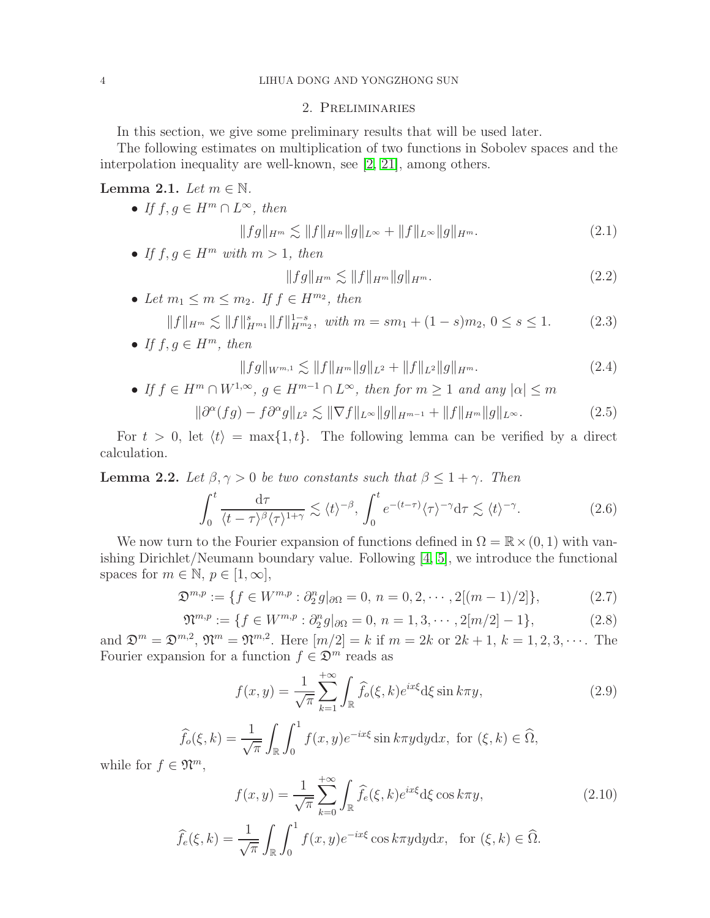# 2. Preliminaries

In this section, we give some preliminary results that will be used later.

The following estimates on multiplication of two functions in Sobolev spaces and the interpolation inequality are well-known, see [\[2,](#page-24-18) [21\]](#page-24-19), among others.

<span id="page-3-2"></span>Lemma 2.1. Let  $m \in \mathbb{N}$ .

• If  $f, g \in H^m \cap L^{\infty}$ , then

$$
||fg||_{H^m} \lesssim ||f||_{H^m} ||g||_{L^\infty} + ||f||_{L^\infty} ||g||_{H^m}.
$$
\n(2.1)

• If  $f, g \in H^m$  with  $m > 1$ , then

$$
||fg||_{H^m} \lesssim ||f||_{H^m} ||g||_{H^m}.
$$
\n(2.2)

• Let  $m_1 \leq m \leq m_2$ . If  $f \in H^{m_2}$ , then  $||f||_{H^m} \lesssim ||f||_{H^{m_1}}^{s} ||f||_{H^{m_2}}^{1-s}, \text{ with } m = sm_1 + (1-s)m_2, 0 \le s \le 1.$  (2.3)

<span id="page-3-3"></span>• If 
$$
f, g \in H^m
$$
, then

<span id="page-3-4"></span>
$$
||fg||_{W^{m,1}} \lesssim ||f||_{H^m} ||g||_{L^2} + ||f||_{L^2} ||g||_{H^m}.
$$
\n(2.4)

• If  $f \in H^m \cap W^{1,\infty}$ ,  $g \in H^{m-1} \cap L^{\infty}$ , then for  $m \geq 1$  and any  $|\alpha| \leq m$ 

$$
\|\partial^{\alpha}(fg) - f\partial^{\alpha}g\|_{L^{2}} \lesssim \|\nabla f\|_{L^{\infty}}\|g\|_{H^{m-1}} + \|f\|_{H^{m}}\|g\|_{L^{\infty}}.\tag{2.5}
$$

For  $t > 0$ , let  $\langle t \rangle = \max\{1, t\}$ . The following lemma can be verified by a direct calculation.

<span id="page-3-0"></span>**Lemma 2.2.** Let  $\beta, \gamma > 0$  be two constants such that  $\beta \leq 1 + \gamma$ . Then

$$
\int_0^t \frac{\mathrm{d}\tau}{\langle t-\tau \rangle^\beta \langle \tau \rangle^{1+\gamma}} \lesssim \langle t \rangle^{-\beta}, \int_0^t e^{-(t-\tau)} \langle \tau \rangle^{-\gamma} \mathrm{d}\tau \lesssim \langle t \rangle^{-\gamma}.
$$
 (2.6)

We now turn to the Fourier expansion of functions defined in  $\Omega = \mathbb{R} \times (0, 1)$  with vanishing Dirichlet/Neumann boundary value. Following [\[4,](#page-24-20) [5\]](#page-24-21), we introduce the functional spaces for  $m \in \mathbb{N}, p \in [1, \infty]$ ,

$$
\mathfrak{D}^{m,p} := \{ f \in W^{m,p} : \partial_2^n g \vert_{\partial \Omega} = 0, n = 0, 2, \cdots, 2[(m-1)/2] \},\tag{2.7}
$$

$$
\mathfrak{N}^{m,p} := \{ f \in W^{m,p} : \partial_2^n g \vert_{\partial \Omega} = 0, \ n = 1, 3, \cdots, 2[m/2] - 1 \},\tag{2.8}
$$

and  $\mathfrak{D}^m = \mathfrak{D}^{m,2}$ ,  $\mathfrak{N}^m = \mathfrak{N}^{m,2}$ . Here  $[m/2] = k$  if  $m = 2k$  or  $2k + 1$ ,  $k = 1, 2, 3, \cdots$ . The Fourier expansion for a function  $f \in \mathfrak{D}^m$  reads as

<span id="page-3-1"></span>
$$
f(x,y) = \frac{1}{\sqrt{\pi}} \sum_{k=1}^{+\infty} \int_{\mathbb{R}} \widehat{f}_o(\xi, k) e^{ix\xi} d\xi \sin k\pi y,
$$
 (2.9)

$$
\widehat{f}_{o}(\xi, k) = \frac{1}{\sqrt{\pi}} \int_{\mathbb{R}} \int_{0}^{1} f(x, y) e^{-ix\xi} \sin k\pi y dy dx, \text{ for } (\xi, k) \in \widehat{\Omega},
$$
  

$$
\mathfrak{N}^{m}
$$

while for  $f \in \mathfrak{N}^m$ ,

$$
f(x,y) = \frac{1}{\sqrt{\pi}} \sum_{k=0}^{+\infty} \int_{\mathbb{R}} \widehat{f}_e(\xi, k) e^{ix\xi} d\xi \cos k\pi y,
$$
 (2.10)

$$
\widehat{f}_e(\xi, k) = \frac{1}{\sqrt{\pi}} \int_{\mathbb{R}} \int_0^1 f(x, y) e^{-ix\xi} \cos k\pi y \, dy \, dx, \text{ for } (\xi, k) \in \widehat{\Omega}.
$$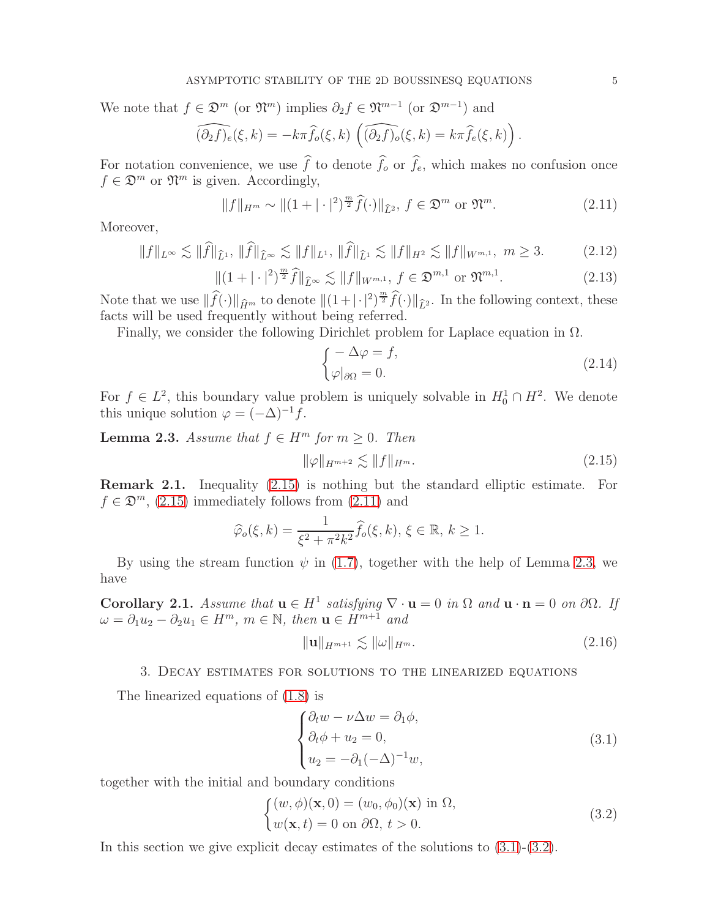We note that  $f \in \mathfrak{D}^m$  (or  $\mathfrak{N}^m$ ) implies  $\partial_2 f \in \mathfrak{N}^{m-1}$  (or  $\mathfrak{D}^{m-1}$ ) and

$$
\widehat{(\partial_2 f)_e}(\xi, k) = -k\pi \widehat{f}_o(\xi, k) \left( \widehat{(\partial_2 f)_o}(\xi, k) = k\pi \widehat{f}_e(\xi, k) \right).
$$

For notation convenience, we use  $\hat{f}$  to denote  $\hat{f}_o$  or  $\hat{f}_e$ , which makes no confusion once  $f \in \mathfrak{D}^m$  or  $\mathfrak{N}^m$  is given. Accordingly,

<span id="page-4-3"></span>
$$
||f||_{H^m} \sim ||(1+|\cdot|^2)^{\frac{m}{2}} \widehat{f}(\cdot)||_{\widehat{L}^2}, \ f \in \mathfrak{D}^m \text{ or } \mathfrak{N}^m. \tag{2.11}
$$

Moreover,

<span id="page-4-6"></span>
$$
\|f\|_{L^{\infty}} \lesssim \|\widehat{f}\|_{\widehat{L}^{1}}, \|\widehat{f}\|_{\widehat{L}^{\infty}} \lesssim \|f\|_{L^{1}}, \|\widehat{f}\|_{\widehat{L}^{1}} \lesssim \|f\|_{H^{2}} \lesssim \|f\|_{W^{m,1}}, \ m \ge 3. \tag{2.12}
$$

<span id="page-4-5"></span>
$$
\|(1+|\cdot|^2)^{\frac{m}{2}}\widehat{f}\|_{\widehat{L}^{\infty}} \lesssim \|f\|_{W^{m,1}}, \ f \in \mathfrak{D}^{m,1} \text{ or } \mathfrak{N}^{m,1}.
$$

Note that we use  $\|\widehat{f}(\cdot)\|_{\widehat{H}^m}$  to denote  $\|(1+|\cdot|^2)^{\frac{m}{2}}\widehat{f}(\cdot)\|_{\widehat{L}^2}$ . In the following context, these facts will be used frequently without being referred.

Finally, we consider the following Dirichlet problem for Laplace equation in  $\Omega$ .

$$
\begin{cases}\n-\Delta \varphi = f, \\
\varphi|_{\partial \Omega} = 0.\n\end{cases}
$$
\n(2.14)

For  $f \in L^2$ , this boundary value problem is uniquely solvable in  $H_0^1 \cap H^2$ . We denote this unique solution  $\varphi = (-\Delta)^{-1} f$ .

<span id="page-4-4"></span>**Lemma 2.3.** Assume that  $f \in H^m$  for  $m \geq 0$ . Then

<span id="page-4-2"></span>
$$
\|\varphi\|_{H^{m+2}} \lesssim \|f\|_{H^m}.\tag{2.15}
$$

Remark 2.1. Inequality [\(2.15\)](#page-4-2) is nothing but the standard elliptic estimate. For  $f \in \mathfrak{D}^m$ , [\(2.15\)](#page-4-2) immediately follows from [\(2.11\)](#page-4-3) and

$$
\widehat{\varphi}_{o}(\xi,k) = \frac{1}{\xi^2 + \pi^2 k^2} \widehat{f}_{o}(\xi,k), \, \xi \in \mathbb{R}, \, k \ge 1.
$$

By using the stream function  $\psi$  in [\(1.7\)](#page-1-6), together with the help of Lemma [2.3,](#page-4-4) we have

<span id="page-4-7"></span>Corollary 2.1. Assume that  $\mathbf{u} \in H^1$  satisfying  $\nabla \cdot \mathbf{u} = 0$  in  $\Omega$  and  $\mathbf{u} \cdot \mathbf{n} = 0$  on  $\partial \Omega$ . If  $\omega = \partial_1 u_2 - \partial_2 u_1 \in H^m$ ,  $m \in \mathbb{N}$ , then  $\mathbf{u} \in H^{m+1}$  and

$$
\|\mathbf{u}\|_{H^{m+1}} \lesssim \|\omega\|_{H^m}.\tag{2.16}
$$

### 3. Decay estimates for solutions to the linearized equations

The linearized equations of [\(1.8\)](#page-1-1) is

<span id="page-4-0"></span>
$$
\begin{cases}\n\partial_t w - \nu \Delta w = \partial_1 \phi, \\
\partial_t \phi + u_2 = 0, \\
u_2 = -\partial_1 (-\Delta)^{-1} w,\n\end{cases}
$$
\n(3.1)

together with the initial and boundary conditions

<span id="page-4-1"></span>
$$
\begin{cases}\n(w, \phi)(\mathbf{x}, 0) = (w_0, \phi_0)(\mathbf{x}) \text{ in } \Omega, \\
w(\mathbf{x}, t) = 0 \text{ on } \partial\Omega, \ t > 0.\n\end{cases}
$$
\n(3.2)

In this section we give explicit decay estimates of the solutions to [\(3.1\)](#page-4-0)-[\(3.2\)](#page-4-1).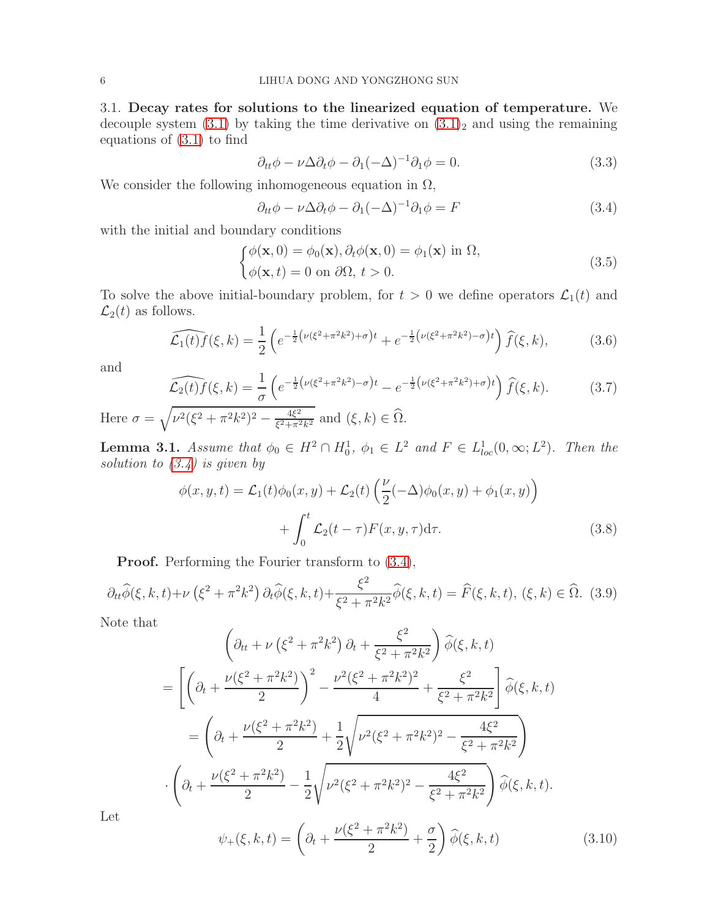3.1. Decay rates for solutions to the linearized equation of temperature. We decouple system  $(3.1)$  $(3.1)$  by taking the time derivative on  $(3.1)<sub>2</sub>$  and using the remaining equations of (3.[1\)](#page-4-0) to find

$$
\partial_{tt}\phi - \nu\Delta\partial_t\phi - \partial_1(-\Delta)^{-1}\partial_1\phi = 0.
$$
\n(3.3)

We consider the following inhomogeneous equation in  $\Omega$ ,

<span id="page-5-0"></span>
$$
\partial_{tt}\phi - \nu\Delta\partial_t\phi - \partial_1(-\Delta)^{-1}\partial_1\phi = F \tag{3.4}
$$

with the initial and boundary conditions

<span id="page-5-4"></span>
$$
\begin{cases}\n\phi(\mathbf{x},0) = \phi_0(\mathbf{x}), \partial_t \phi(\mathbf{x},0) = \phi_1(\mathbf{x}) \text{ in } \Omega, \\
\phi(\mathbf{x},t) = 0 \text{ on } \partial \Omega, \ t > 0.\n\end{cases}
$$
\n(3.5)

To solve the above initial-boundary problem, for  $t > 0$  we define operators  $\mathcal{L}_1(t)$  and  $\mathcal{L}_2(t)$  as follows.

$$
\widehat{\mathcal{L}_1(t)f}(\xi,k) = \frac{1}{2} \left( e^{-\frac{1}{2} \left( \nu(\xi^2 + \pi^2 k^2) + \sigma \right)t} + e^{-\frac{1}{2} \left( \nu(\xi^2 + \pi^2 k^2) - \sigma \right)t} \right) \widehat{f}(\xi,k),\tag{3.6}
$$

and

$$
\widehat{\mathcal{L}_2(t)f}(\xi,k) = \frac{1}{\sigma} \left( e^{-\frac{1}{2} \left( \nu(\xi^2 + \pi^2 k^2) - \sigma \right)t} - e^{-\frac{1}{2} \left( \nu(\xi^2 + \pi^2 k^2) + \sigma \right)t} \right) \widehat{f}(\xi,k).
$$
(3.7)

Here  $\sigma = \sqrt{\nu^2(\xi^2 + \pi^2k^2)^2 - \frac{4\xi^2}{\xi^2 + \pi^2}}$  $\frac{4\xi^2}{\xi^2 + \pi^2 k^2}$  and  $(\xi, k) \in \Omega$ .

<span id="page-5-3"></span>**Lemma 3.1.** Assume that  $\phi_0 \in H^2 \cap H_0^1$ ,  $\phi_1 \in L^2$  and  $F \in L^1_{loc}(0, \infty; L^2)$ . Then the solution to  $(3.4)$  is given by

<span id="page-5-2"></span>
$$
\phi(x, y, t) = \mathcal{L}_1(t)\phi_0(x, y) + \mathcal{L}_2(t)\left(\frac{\nu}{2}(-\Delta)\phi_0(x, y) + \phi_1(x, y)\right) + \int_0^t \mathcal{L}_2(t - \tau)F(x, y, \tau)d\tau.
$$
\n(3.8)

Proof. Performing the Fourier transform to  $(3.4)$ ,

$$
\partial_{tt}\hat{\phi}(\xi, k, t) + \nu \left(\xi^2 + \pi^2 k^2\right) \partial_t \hat{\phi}(\xi, k, t) + \frac{\xi^2}{\xi^2 + \pi^2 k^2} \hat{\phi}(\xi, k, t) = \hat{F}(\xi, k, t), \ (\xi, k) \in \hat{\Omega}. \tag{3.9}
$$

Note that

$$
\left(\partial_{tt} + \nu\left(\xi^{2} + \pi^{2}k^{2}\right)\partial_{t} + \frac{\xi^{2}}{\xi^{2} + \pi^{2}k^{2}}\right)\hat{\phi}(\xi, k, t)
$$
\n
$$
= \left[\left(\partial_{t} + \frac{\nu(\xi^{2} + \pi^{2}k^{2})}{2}\right)^{2} - \frac{\nu^{2}(\xi^{2} + \pi^{2}k^{2})^{2}}{4} + \frac{\xi^{2}}{\xi^{2} + \pi^{2}k^{2}}\right]\hat{\phi}(\xi, k, t)
$$
\n
$$
= \left(\partial_{t} + \frac{\nu(\xi^{2} + \pi^{2}k^{2})}{2} + \frac{1}{2}\sqrt{\nu^{2}(\xi^{2} + \pi^{2}k^{2})^{2} - \frac{4\xi^{2}}{\xi^{2} + \pi^{2}k^{2}}}\right)
$$
\n
$$
\cdot \left(\partial_{t} + \frac{\nu(\xi^{2} + \pi^{2}k^{2})}{2} - \frac{1}{2}\sqrt{\nu^{2}(\xi^{2} + \pi^{2}k^{2})^{2} - \frac{4\xi^{2}}{\xi^{2} + \pi^{2}k^{2}}}\right)\hat{\phi}(\xi, k, t).
$$

Let

<span id="page-5-1"></span>
$$
\psi_{+}(\xi, k, t) = \left(\partial_{t} + \frac{\nu(\xi^{2} + \pi^{2}k^{2})}{2} + \frac{\sigma}{2}\right)\hat{\phi}(\xi, k, t)
$$
\n(3.10)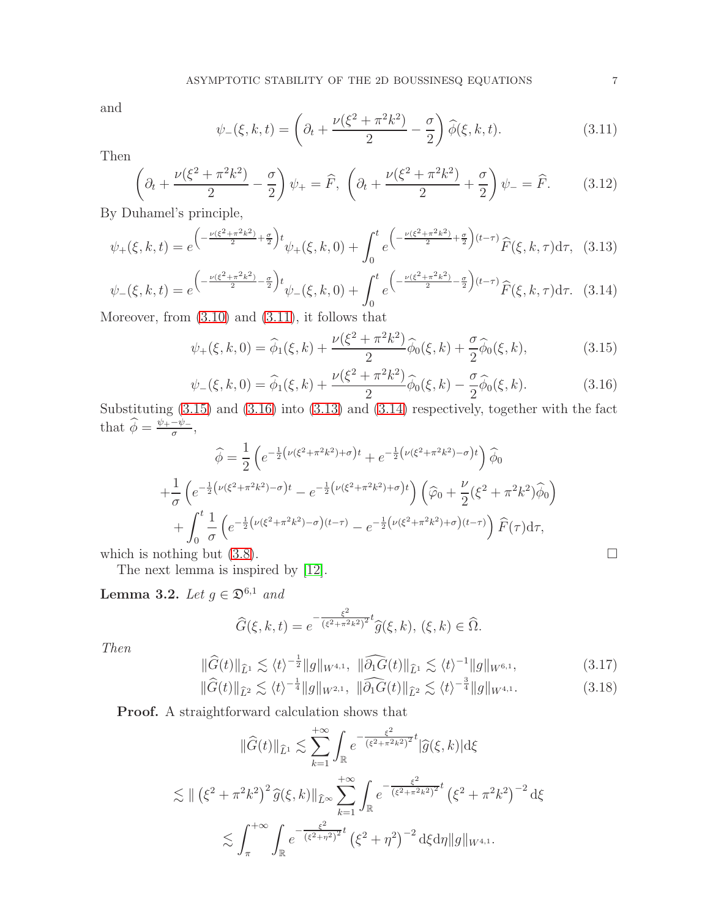and

<span id="page-6-0"></span>
$$
\psi_{-}(\xi, k, t) = \left(\partial_{t} + \frac{\nu(\xi^{2} + \pi^{2}k^{2})}{2} - \frac{\sigma}{2}\right)\widehat{\phi}(\xi, k, t). \tag{3.11}
$$

Then

$$
\left(\partial_t + \frac{\nu(\xi^2 + \pi^2 k^2)}{2} - \frac{\sigma}{2}\right)\psi_+ = \widehat{F}, \ \left(\partial_t + \frac{\nu(\xi^2 + \pi^2 k^2)}{2} + \frac{\sigma}{2}\right)\psi_- = \widehat{F}.\tag{3.12}
$$

By Duhamel's principle,

<span id="page-6-3"></span>
$$
\psi_{+}(\xi,k,t) = e^{\left(-\frac{\nu(\xi^{2}+\pi^{2}k^{2})}{2}+\frac{\sigma}{2}\right)t}\psi_{+}(\xi,k,0) + \int_{0}^{t} e^{\left(-\frac{\nu(\xi^{2}+\pi^{2}k^{2})}{2}+\frac{\sigma}{2}\right)(t-\tau)}\widehat{F}(\xi,k,\tau)d\tau, (3.13)
$$

<span id="page-6-4"></span>
$$
\psi_{-}(\xi,k,t) = e^{\left(-\frac{\nu(\xi^{2}+\pi^{2}k^{2})}{2}-\frac{\sigma}{2}\right)t}\psi_{-}(\xi,k,0) + \int_{0}^{t} e^{\left(-\frac{\nu(\xi^{2}+\pi^{2}k^{2})}{2}-\frac{\sigma}{2}\right)(t-\tau)}\widehat{F}(\xi,k,\tau)d\tau.
$$
 (3.14)

Moreover, from [\(3.10\)](#page-5-1) and [\(3.11\)](#page-6-0), it follows that

<span id="page-6-1"></span>
$$
\psi_{+}(\xi, k, 0) = \widehat{\phi}_{1}(\xi, k) + \frac{\nu(\xi^{2} + \pi^{2} k^{2})}{2} \widehat{\phi}_{0}(\xi, k) + \frac{\sigma}{2} \widehat{\phi}_{0}(\xi, k), \tag{3.15}
$$

<span id="page-6-2"></span>
$$
\psi_{-}(\xi, k, 0) = \widehat{\phi}_{1}(\xi, k) + \frac{\nu(\xi^{2} + \pi^{2} k^{2})}{2} \widehat{\phi}_{0}(\xi, k) - \frac{\sigma}{2} \widehat{\phi}_{0}(\xi, k). \tag{3.16}
$$

Substituting [\(3.15\)](#page-6-1) and [\(3.16\)](#page-6-2) into [\(3.13\)](#page-6-3) and [\(3.14\)](#page-6-4) respectively, together with the fact that  $\widehat{\phi} = \frac{\psi_+ - \psi_-}{\sigma},$ 

$$
\widehat{\phi} = \frac{1}{2} \left( e^{-\frac{1}{2} \left( \nu (\xi^2 + \pi^2 k^2) + \sigma \right) t} + e^{-\frac{1}{2} \left( \nu (\xi^2 + \pi^2 k^2) - \sigma \right) t} \right) \widehat{\phi}_0
$$
\n
$$
+ \frac{1}{\sigma} \left( e^{-\frac{1}{2} \left( \nu (\xi^2 + \pi^2 k^2) - \sigma \right) t} - e^{-\frac{1}{2} \left( \nu (\xi^2 + \pi^2 k^2) + \sigma \right) t} \right) \left( \widehat{\varphi}_0 + \frac{\nu}{2} (\xi^2 + \pi^2 k^2) \widehat{\phi}_0 \right)
$$
\n
$$
+ \int_0^t \frac{1}{\sigma} \left( e^{-\frac{1}{2} \left( \nu (\xi^2 + \pi^2 k^2) - \sigma \right) (t - \tau)} - e^{-\frac{1}{2} \left( \nu (\xi^2 + \pi^2 k^2) + \sigma \right) (t - \tau)} \right) \widehat{F}(\tau) d\tau,
$$
\nwhich is nothing but (3.8).

The next lemma is inspired by [\[12\]](#page-24-22).

<span id="page-6-7"></span>Lemma 3.2. Let  $g \in \mathfrak{D}^{6,1}$  and

$$
\widehat{G}(\xi,k,t) = e^{-\frac{\xi^2}{(\xi^2 + \pi^2 k^2)^2}t} \widehat{g}(\xi,k), \ (\xi,k) \in \widehat{\Omega}.
$$

Then

<span id="page-6-5"></span>
$$
\|\widehat{G}(t)\|_{\widehat{L}^1} \lesssim \langle t \rangle^{-\frac{1}{2}} \|g\|_{W^{4,1}}, \ \|\widehat{\partial_1 G}(t)\|_{\widehat{L}^1} \lesssim \langle t \rangle^{-1} \|g\|_{W^{6,1}},
$$
\n
$$
\|\widehat{G}(t)\|_{\widehat{L}^2} \leq \langle t \rangle^{-\frac{1}{4}} \|g\|_{W^{2,1}} \|\widehat{\partial_1 G}(t)\|_{\widehat{L}^2} \leq \langle t \rangle^{-\frac{3}{4}} \|g\|_{W^{4,1}}.
$$
\n(3.17)

<span id="page-6-6"></span>
$$
||G(t)||_{\hat{L}^2} \lesssim \langle t \rangle^{-\frac{1}{4}} ||g||_{W^{2,1}}, \ ||\partial_1 G(t)||_{\hat{L}^2} \lesssim \langle t \rangle^{-\frac{3}{4}} ||g||_{W^{4,1}}.
$$
 (3.18)

Proof. A straightforward calculation shows that

$$
\|\widehat{G}(t)\|_{\widehat{L}^{1}} \lesssim \sum_{k=1}^{+\infty} \int_{\mathbb{R}} e^{-\frac{\xi^{2}}{(\xi^{2}+\pi^{2}k^{2})^{2}}t} |\widehat{g}(\xi,k)| \mathrm{d}\xi
$$
  

$$
\lesssim \|(\xi^{2}+\pi^{2}k^{2})^{2} \widehat{g}(\xi,k)\|_{\widehat{L}^{\infty}} \sum_{k=1}^{+\infty} \int_{\mathbb{R}} e^{-\frac{\xi^{2}}{(\xi^{2}+\pi^{2}k^{2})^{2}}t} (\xi^{2}+\pi^{2}k^{2})^{-2} \mathrm{d}\xi
$$
  

$$
\lesssim \int_{\pi}^{+\infty} \int_{\mathbb{R}} e^{-\frac{\xi^{2}}{(\xi^{2}+\pi^{2})^{2}}t} (\xi^{2}+\eta^{2})^{-2} \mathrm{d}\xi \mathrm{d}\eta \|g\|_{W^{4,1}}.
$$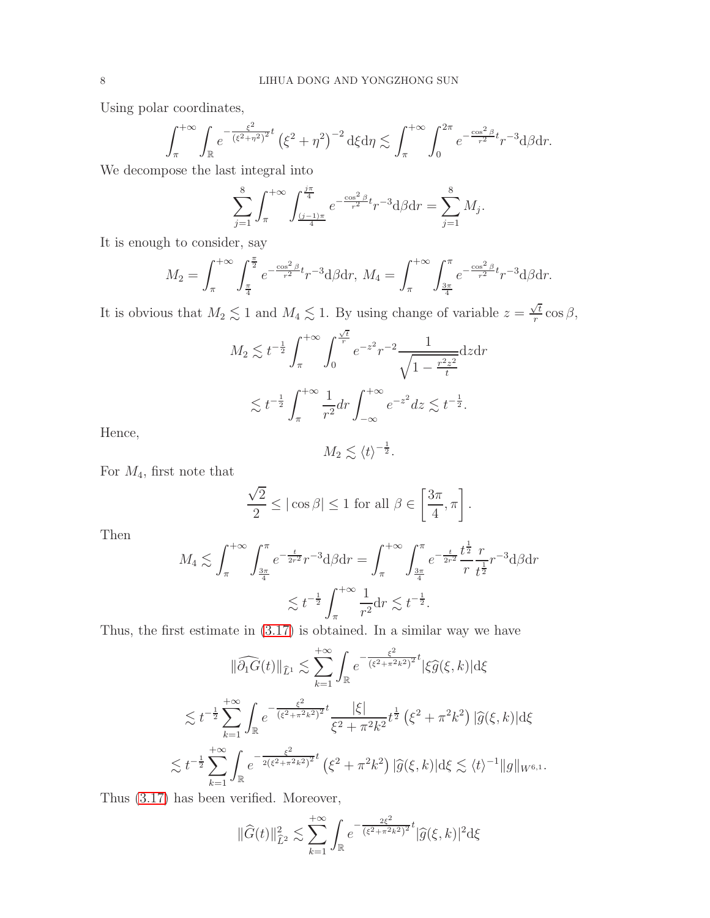Using polar coordinates,

$$
\int_{\pi}^{+\infty} \int_{\mathbb{R}} e^{-\frac{\xi^2}{(\xi^2 + \eta^2)^2}t} \left(\xi^2 + \eta^2\right)^{-2} d\xi d\eta \lesssim \int_{\pi}^{+\infty} \int_{0}^{2\pi} e^{-\frac{\cos^2 \beta}{r^2}t} r^{-3} d\beta dr.
$$

We decompose the last integral into

$$
\sum_{j=1}^{8} \int_{\pi}^{+\infty} \int_{\frac{(j-1)\pi}{4}}^{\frac{j\pi}{4}} e^{-\frac{\cos^2 \beta}{r^2}t} r^{-3} d\beta dr = \sum_{j=1}^{8} M_j.
$$

It is enough to consider, say

$$
M_2 = \int_{\pi}^{+\infty} \int_{\frac{\pi}{4}}^{\frac{\pi}{2}} e^{-\frac{\cos^2 \beta}{r^2}t} r^{-3} d\beta dr, \ M_4 = \int_{\pi}^{+\infty} \int_{\frac{3\pi}{4}}^{\pi} e^{-\frac{\cos^2 \beta}{r^2}t} r^{-3} d\beta dr.
$$

It is obvious that  $M_2 \lesssim 1$  and  $M_4 \lesssim 1$ . By using change of variable  $z = \frac{\sqrt{t}}{r}$  $\frac{\sqrt{t}}{r}$  cos  $\beta$ ,

$$
M_2 \lesssim t^{-\frac{1}{2}} \int_{\pi}^{+\infty} \int_0^{\frac{\sqrt{t}}{r}} e^{-z^2} r^{-2} \frac{1}{\sqrt{1 - \frac{r^2 z^2}{t}}} dz dr
$$
  

$$
\lesssim t^{-\frac{1}{2}} \int_{\pi}^{+\infty} \frac{1}{r^2} dr \int_{-\infty}^{+\infty} e^{-z^2} dz \lesssim t^{-\frac{1}{2}}.
$$

Hence,

$$
M_2 \lesssim \langle t \rangle^{-\frac{1}{2}}.
$$

For  $M_4$ , first note that

$$
\frac{\sqrt{2}}{2} \le |\cos \beta| \le 1 \text{ for all } \beta \in \left[\frac{3\pi}{4}, \pi\right].
$$

Then

$$
M_4 \lesssim \int_{\pi}^{+\infty} \int_{\frac{3\pi}{4}}^{\pi} e^{-\frac{t}{2r^2}} r^{-3} d\beta dr = \int_{\pi}^{+\infty} \int_{\frac{3\pi}{4}}^{\pi} e^{-\frac{t}{2r^2}} \frac{t^{\frac{1}{2}}}{r} \frac{r}{t^{\frac{1}{2}}} r^{-3} d\beta dr
$$

$$
\lesssim t^{-\frac{1}{2}} \int_{\pi}^{+\infty} \frac{1}{r^2} dr \lesssim t^{-\frac{1}{2}}.
$$

Thus, the first estimate in [\(3.17\)](#page-6-5) is obtained. In a similar way we have

$$
\|\widehat{\partial_1 G}(t)\|_{\widehat{L}^1} \lesssim \sum_{k=1}^{+\infty} \int_{\mathbb{R}} e^{-\frac{\xi^2}{(\xi^2 + \pi^2 k^2)^2} t} |\xi \widehat{g}(\xi, k)| d\xi
$$
  

$$
\lesssim t^{-\frac{1}{2}} \sum_{k=1}^{+\infty} \int_{\mathbb{R}} e^{-\frac{\xi^2}{(\xi^2 + \pi^2 k^2)^2} t} \frac{|\xi|}{\xi^2 + \pi^2 k^2} t^{\frac{1}{2}} (\xi^2 + \pi^2 k^2) |\widehat{g}(\xi, k)| d\xi
$$
  

$$
\lesssim t^{-\frac{1}{2}} \sum_{k=1}^{+\infty} \int_{\mathbb{R}} e^{-\frac{\xi^2}{2(\xi^2 + \pi^2 k^2)^2} t} (\xi^2 + \pi^2 k^2) |\widehat{g}(\xi, k)| d\xi \lesssim \langle t \rangle^{-1} \|g\|_{W^{6,1}}.
$$

Thus [\(3.17\)](#page-6-5) has been verified. Moreover,

$$
\|\widehat{G}(t)\|_{\widehat{L}^2}^2 \lesssim \sum_{k=1}^{+\infty} \int_{\mathbb{R}} e^{-\frac{2\xi^2}{(\xi^2 + \pi^2 k^2)^2}t} |\widehat{g}(\xi, k)|^2 d\xi
$$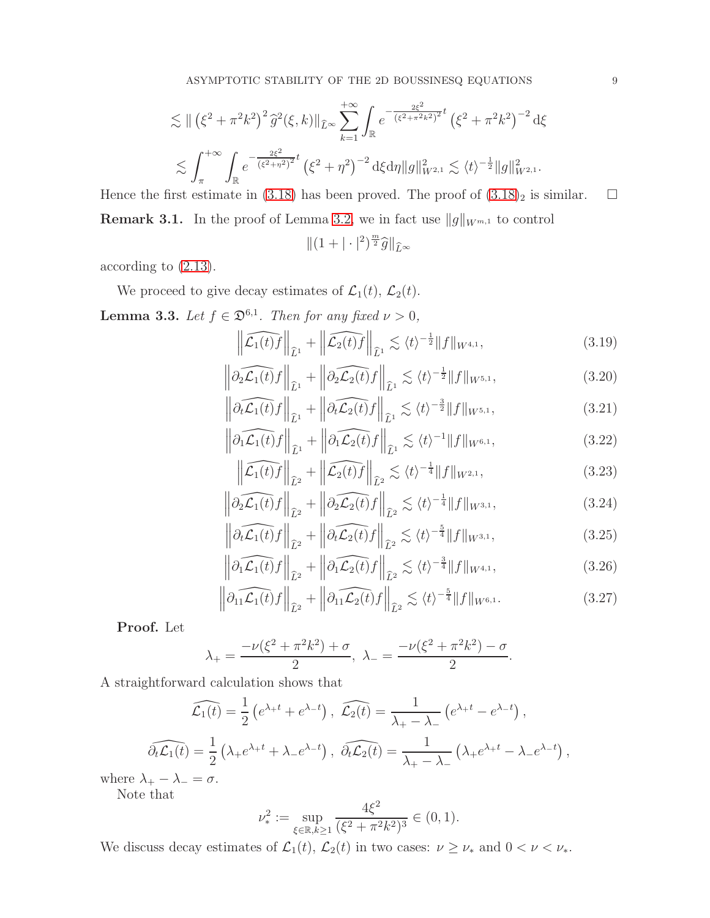$$
\lesssim \| (\xi^2 + \pi^2 k^2)^2 \hat{g}^2(\xi, k) \|_{\widehat{L}^\infty} \sum_{k=1}^{+\infty} \int_{\mathbb{R}} e^{-\frac{2\xi^2}{(\xi^2 + \pi^2 k^2)^2} t} (\xi^2 + \pi^2 k^2)^{-2} d\xi
$$
  

$$
\lesssim \int_{\pi}^{+\infty} \int_{\mathbb{R}} e^{-\frac{2\xi^2}{(\xi^2 + \eta^2)^2} t} (\xi^2 + \eta^2)^{-2} d\xi d\eta \|g\|_{W^{2,1}}^2 \lesssim \langle t \rangle^{-\frac{1}{2}} \|g\|_{W^{2,1}}^2.
$$

<span id="page-8-4"></span>Hence the first estimate in [\(3.18\)](#page-6-6) has been proved. The proof of  $(3.18)_2$  $(3.18)_2$  $(3.18)_2$  is similar.  $\Box$ **Remark 3.1.** In the proof of Lemma [3.2,](#page-6-7) we in fact use  $||g||_{W^{m,1}}$  to control

$$
\|(1+|\cdot|^2)^{\frac{m}{2}}\widehat{g}\|_{\widehat{L}^\infty}
$$

according to [\(2.13\)](#page-4-5).

We proceed to give decay estimates of  $\mathcal{L}_1(t)$ ,  $\mathcal{L}_2(t)$ .

<span id="page-8-3"></span>**Lemma 3.3.** Let  $f \in \mathfrak{D}^{6,1}$ . Then for any fixed  $\nu > 0$ ,

<span id="page-8-2"></span>
$$
\left\| \widehat{\mathcal{L}_1(t)f} \right\|_{\widehat{L}^1} + \left\| \widehat{\mathcal{L}_2(t)f} \right\|_{\widehat{L}^1} \lesssim \langle t \rangle^{-\frac{1}{2}} \| f \|_{W^{4,1}},\tag{3.19}
$$

$$
\left\|\widehat{\partial_2 \mathcal{L}_1(t)} f\right\|_{\widehat{L}^1} + \left\|\widehat{\partial_2 \mathcal{L}_2(t)} f\right\|_{\widehat{L}^1} \lesssim \langle t \rangle^{-\frac{1}{2}} \|f\|_{W^{5,1}},\tag{3.20}
$$

$$
\left\| \widehat{\partial_t \mathcal{L}_1(t)} f \right\|_{\widehat{L}^1} + \left\| \widehat{\partial_t \mathcal{L}_2(t)} f \right\|_{\widehat{L}^1} \lesssim \langle t \rangle^{-\frac{3}{2}} \| f \|_{W^{5,1}},\tag{3.21}
$$

$$
\left\| \widehat{\partial_1 \mathcal{L}_1(t)} f \right\|_{\widehat{L}^1} + \left\| \widehat{\partial_1 \mathcal{L}_2(t)} f \right\|_{\widehat{L}^1} \lesssim \langle t \rangle^{-1} \| f \|_{W^{6,1}}, \tag{3.22}
$$

<span id="page-8-0"></span>
$$
\left\| \widehat{\mathcal{L}_1(t)f} \right\|_{\widehat{L}^2} + \left\| \widehat{\mathcal{L}_2(t)f} \right\|_{\widehat{L}^2} \lesssim \langle t \rangle^{-\frac{1}{4}} \| f \|_{W^{2,1}},\tag{3.23}
$$

$$
\left\|\widehat{\partial_2 \mathcal{L}_1(t)} f\right\|_{\widehat{L}^2} + \left\|\widehat{\partial_2 \mathcal{L}_2(t)} f\right\|_{\widehat{L}^2} \lesssim \langle t \rangle^{-\frac{1}{4}} \|f\|_{W^{3,1}},\tag{3.24}
$$

$$
\left\| \widehat{\partial_t \mathcal{L}_1(t)} f \right\|_{\widehat{L}^2} + \left\| \widehat{\partial_t \mathcal{L}_2(t)} f \right\|_{\widehat{L}^2} \lesssim \langle t \rangle^{-\frac{5}{4}} \| f \|_{W^{3,1}},\tag{3.25}
$$

$$
\left\| \partial_1 \widehat{\mathcal{L}_1(t)} f \right\|_{\widehat{L}^2} + \left\| \partial_1 \widehat{\mathcal{L}_2(t)} f \right\|_{\widehat{L}^2} \lesssim \langle t \rangle^{-\frac{3}{4}} \| f \|_{W^{4,1}}, \tag{3.26}
$$

<span id="page-8-1"></span>
$$
\left\|\widehat{\partial_{11}\mathcal{L}_1(t)}f\right\|_{\widehat{L}^2} + \left\|\widehat{\partial_{11}\mathcal{L}_2(t)}f\right\|_{\widehat{L}^2} \lesssim \langle t\rangle^{-\frac{5}{4}} \|f\|_{W^{6,1}}.
$$
\n(3.27)

Proof. Let

$$
\lambda_{+} = \frac{-\nu(\xi^2 + \pi^2 k^2) + \sigma}{2}, \ \lambda_{-} = \frac{-\nu(\xi^2 + \pi^2 k^2) - \sigma}{2}.
$$

A straightforward calculation shows that

$$
\widehat{\mathcal{L}_1(t)} = \frac{1}{2} \left( e^{\lambda + t} + e^{\lambda - t} \right), \quad \widehat{\mathcal{L}_2(t)} = \frac{1}{\lambda_+ - \lambda_-} \left( e^{\lambda + t} - e^{\lambda - t} \right),
$$

$$
\widehat{\partial_t \mathcal{L}_1(t)} = \frac{1}{2} \left( \lambda_+ e^{\lambda_+ t} + \lambda_- e^{\lambda_- t} \right), \quad \widehat{\partial_t \mathcal{L}_2(t)} = \frac{1}{\lambda_+ - \lambda_-} \left( \lambda_+ e^{\lambda_+ t} - \lambda_- e^{\lambda_- t} \right),
$$

where  $\lambda_+ - \lambda_- = \sigma$ .

Note that

$$
\nu_*^2 := \sup_{\xi \in \mathbb{R}, k \ge 1} \frac{4\xi^2}{(\xi^2 + \pi^2 k^2)^3} \in (0, 1).
$$

We discuss decay estimates of  $\mathcal{L}_1(t)$ ,  $\mathcal{L}_2(t)$  in two cases:  $\nu \geq \nu_*$  and  $0 < \nu < \nu_*$ .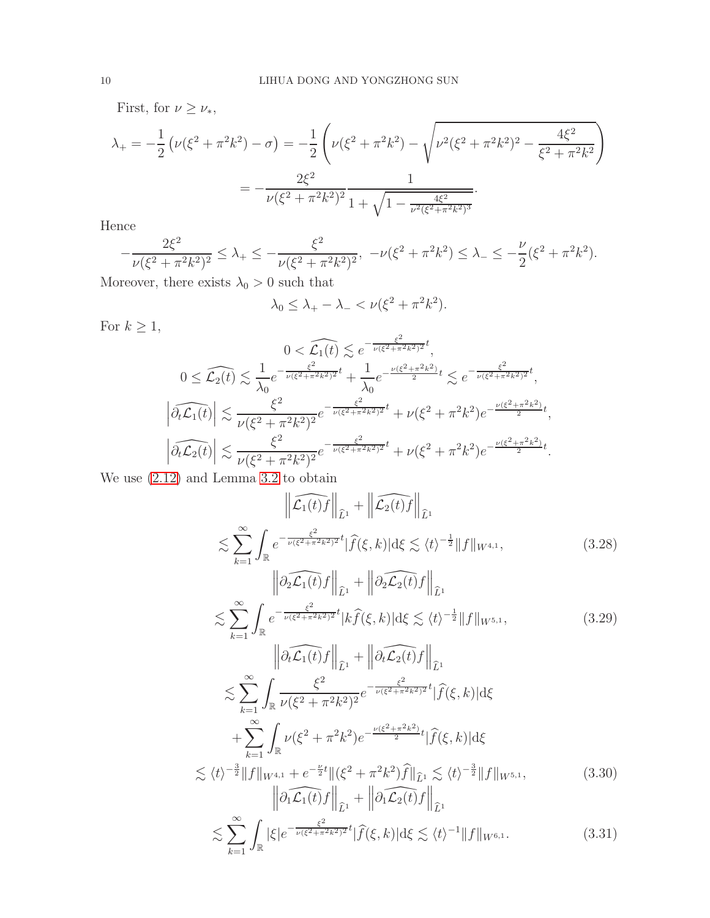First, for  $\nu \geq \nu_*,$ 

$$
\lambda_{+} = -\frac{1}{2} \left( \nu(\xi^{2} + \pi^{2}k^{2}) - \sigma \right) = -\frac{1}{2} \left( \nu(\xi^{2} + \pi^{2}k^{2}) - \sqrt{\nu^{2}(\xi^{2} + \pi^{2}k^{2})^{2} - \frac{4\xi^{2}}{\xi^{2} + \pi^{2}k^{2}}} \right)
$$

$$
= -\frac{2\xi^{2}}{\nu(\xi^{2} + \pi^{2}k^{2})^{2}} \frac{1}{1 + \sqrt{1 - \frac{4\xi^{2}}{\nu^{2}(\xi^{2} + \pi^{2}k^{2})^{3}}}}.
$$

Hence

$$
-\frac{2\xi^2}{\nu(\xi^2 + \pi^2 k^2)^2} \le \lambda_+ \le -\frac{\xi^2}{\nu(\xi^2 + \pi^2 k^2)^2}, \quad -\nu(\xi^2 + \pi^2 k^2) \le \lambda_- \le -\frac{\nu}{2}(\xi^2 + \pi^2 k^2).
$$

Moreover, there exists  $\lambda_0>0$  such that

$$
\lambda_0 \leq \lambda_+ - \lambda_- < \nu(\xi^2 + \pi^2 k^2).
$$

For 
$$
k \ge 1
$$
,  
\n
$$
0 < \widehat{\mathcal{L}_1(t)} \lesssim e^{-\frac{\xi^2}{\nu(\xi^2 + \pi^2 k^2)^2} t},
$$
\n
$$
0 \le \widehat{\mathcal{L}_2(t)} \lesssim \frac{1}{\lambda_0} e^{-\frac{\xi^2}{\nu(\xi^2 + \pi^2 k^2)^2} t} + \frac{1}{\lambda_0} e^{-\frac{\nu(\xi^2 + \pi^2 k^2)}{2} t} \lesssim e^{-\frac{\xi^2}{\nu(\xi^2 + \pi^2 k^2)^2} t},
$$
\n
$$
|\widehat{\partial_t \mathcal{L}_1(t)}| \lesssim \frac{\xi^2}{\nu(\xi^2 + \pi^2 k^2)^2} e^{-\frac{\xi^2}{\nu(\xi^2 + \pi^2 k^2)^2} t} + \nu(\xi^2 + \pi^2 k^2) e^{-\frac{\nu(\xi^2 + \pi^2 k^2)}{2} t},
$$
\n
$$
|\widehat{\partial_t \mathcal{L}_2(t)}| \lesssim \frac{\xi^2}{\nu(\xi^2 + \pi^2 k^2)^2} e^{-\frac{\xi^2}{\nu(\xi^2 + \pi^2 k^2)^2} t} + \nu(\xi^2 + \pi^2 k^2) e^{-\frac{\nu(\xi^2 + \pi^2 k^2)}{2} t}.
$$

We use [\(2.12\)](#page-4-6) and Lemma [3.2](#page-6-7) to obtain

 $\sum_{k=1}$   $J_{\mathbb{R}}$ 

$$
\|\widehat{\mathcal{L}_{1}(t)}f\|_{\widehat{L}^{1}} + \|\widehat{\mathcal{L}_{2}(t)}f\|_{\widehat{L}^{1}} + \|\widehat{\mathcal{L}_{2}(t)}f\|_{\widehat{L}^{1}} \leq \sum_{k=1}^{\infty} \int_{\mathbb{R}} e^{-\frac{\xi^{2}}{\nu(\xi^{2}+\pi^{2}k^{2})^{2}}t} |\widehat{f}(\xi,k)| d\xi \lesssim \langle t\rangle^{-\frac{1}{2}} \|f\|_{W^{4,1}},
$$
\n
$$
\lesssim \sum_{k=1}^{\infty} \int_{\mathbb{R}} e^{-\frac{\xi^{2}}{\nu(\xi^{2}+\pi^{2}k^{2})^{2}}t} |\widehat{k}f(\xi,k)| d\xi \lesssim \langle t\rangle^{-\frac{1}{2}} \|f\|_{W^{5,1}},
$$
\n
$$
\lesssim \sum_{k=1}^{\infty} \int_{\mathbb{R}} e^{-\frac{\xi^{2}}{\nu(\xi^{2}+\pi^{2}k^{2})^{2}}t} |\widehat{k}f(\xi,k)| d\xi \lesssim \langle t\rangle^{-\frac{1}{2}} \|f\|_{W^{5,1}},
$$
\n
$$
\lesssim \sum_{k=1}^{\infty} \int_{\mathbb{R}} \frac{\xi^{2}}{\nu(\xi^{2}+\pi^{2}k^{2})^{2}} e^{-\frac{\xi^{2}}{\nu(\xi^{2}+\pi^{2}k^{2})^{2}}t} |\widehat{f}(\xi,k)| d\xi
$$
\n
$$
+ \sum_{k=1}^{\infty} \int_{\mathbb{R}} \nu(\xi^{2}+\pi^{2}k^{2}) e^{-\frac{\nu(\xi^{2}+\pi^{2}k^{2})}{2}t} |\widehat{f}(\xi,k)| d\xi
$$
\n
$$
\lesssim \langle t\rangle^{-\frac{3}{2}} \|f\|_{W^{4,1}} + e^{-\frac{\nu}{2}t} \|(\xi^{2}+\pi^{2}k^{2})\widehat{f}\|_{\widehat{L}^{1}} \lesssim \langle t\rangle^{-\frac{3}{2}} \|f\|_{W^{5,1}},
$$
\n
$$
\lesssim \sum_{k=1}^{\infty} \int_{\mathbb{R}} |\xi| e^{-\frac{\xi^{2}}{\nu(\xi^{2}+\pi^{2}k^{2})^{2}}t} |\widehat{f}(\
$$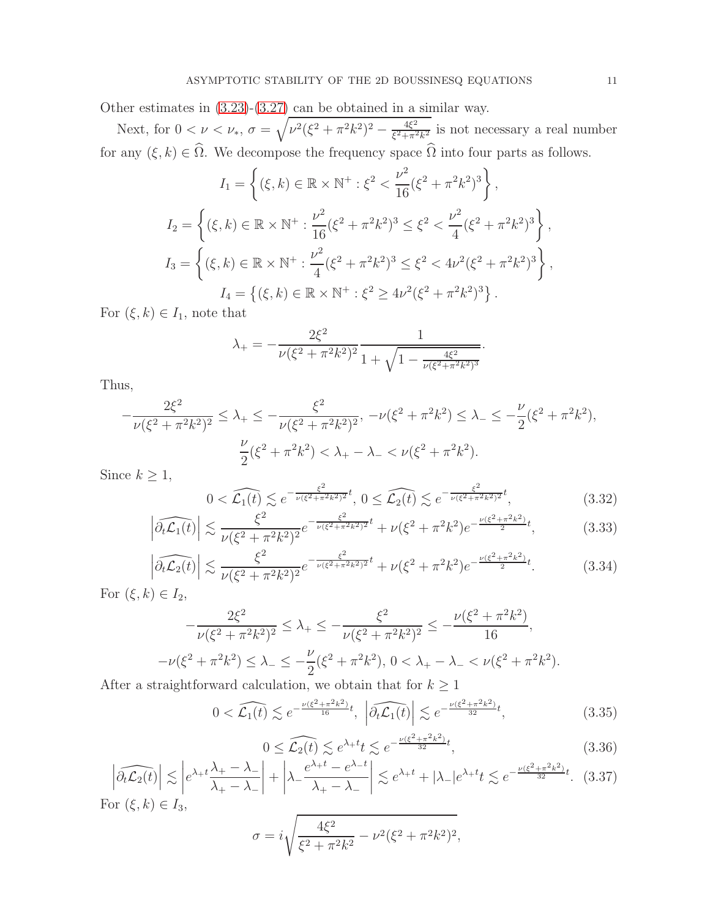Other estimates in [\(3.23\)](#page-8-0)-[\(3.27\)](#page-8-1) can be obtained in a similar way.

Next, for  $0 < \nu < \nu_*$ ,  $\sigma = \sqrt{\nu^2 (\xi^2 + \pi^2 k^2)^2 - \frac{4\xi^2}{\xi^2 + \pi^2}}$  $\frac{4\xi^2}{\xi^2 + \pi^2 k^2}$  is not necessary a real number for any  $(\xi, k) \in \Omega$ . We decompose the frequency space  $\Omega$  into four parts as follows.

$$
I_1 = \left\{ (\xi, k) \in \mathbb{R} \times \mathbb{N}^+ : \xi^2 < \frac{\nu^2}{16} (\xi^2 + \pi^2 k^2)^3 \right\},
$$
\n
$$
I_2 = \left\{ (\xi, k) \in \mathbb{R} \times \mathbb{N}^+ : \frac{\nu^2}{16} (\xi^2 + \pi^2 k^2)^3 \le \xi^2 < \frac{\nu^2}{4} (\xi^2 + \pi^2 k^2)^3 \right\},
$$
\n
$$
I_3 = \left\{ (\xi, k) \in \mathbb{R} \times \mathbb{N}^+ : \frac{\nu^2}{4} (\xi^2 + \pi^2 k^2)^3 \le \xi^2 < 4\nu^2 (\xi^2 + \pi^2 k^2)^3 \right\},
$$
\n
$$
I_4 = \left\{ (\xi, k) \in \mathbb{R} \times \mathbb{N}^+ : \xi^2 \ge 4\nu^2 (\xi^2 + \pi^2 k^2)^3 \right\}.
$$

For  $(\xi, k) \in I_1$ , note that

$$
\lambda_{+} = -\frac{2\xi^2}{\nu(\xi^2 + \pi^2 k^2)^2} \frac{1}{1 + \sqrt{1 - \frac{4\xi^2}{\nu(\xi^2 + \pi^2 k^2)^3}}}
$$

Thus,

$$
-\frac{2\xi^2}{\nu(\xi^2 + \pi^2 k^2)^2} \le \lambda_+ \le -\frac{\xi^2}{\nu(\xi^2 + \pi^2 k^2)^2}, \quad -\nu(\xi^2 + \pi^2 k^2) \le \lambda_- \le -\frac{\nu}{2}(\xi^2 + \pi^2 k^2),
$$

$$
\frac{\nu}{2}(\xi^2 + \pi^2 k^2) < \lambda_+ - \lambda_- < \nu(\xi^2 + \pi^2 k^2).
$$

Since  $k \geq 1$ ,

<span id="page-10-0"></span>
$$
0 < \widehat{\mathcal{L}_1(t)} \lesssim e^{-\frac{\xi^2}{\nu(\xi^2 + \pi^2 k^2)^2}t}, \ 0 \leq \widehat{\mathcal{L}_2(t)} \lesssim e^{-\frac{\xi^2}{\nu(\xi^2 + \pi^2 k^2)^2}t}, \tag{3.32}
$$

.

$$
\left|\widehat{\partial_t \mathcal{L}_1(t)}\right| \lesssim \frac{\xi^2}{\nu(\xi^2 + \pi^2 k^2)^2} e^{-\frac{\xi^2}{\nu(\xi^2 + \pi^2 k^2)^2}t} + \nu(\xi^2 + \pi^2 k^2) e^{-\frac{\nu(\xi^2 + \pi^2 k^2)}{2}t},\tag{3.33}
$$

$$
\left| \widehat{\partial_t \mathcal{L}_2(t)} \right| \lesssim \frac{\xi^2}{\nu (\xi^2 + \pi^2 k^2)^2} e^{-\frac{\xi^2}{\nu (\xi^2 + \pi^2 k^2)^2} t} + \nu (\xi^2 + \pi^2 k^2) e^{-\frac{\nu (\xi^2 + \pi^2 k^2)}{2} t}.
$$
 (3.34)

For  $(\xi, k) \in I_2$ ,

$$
-\frac{2\xi^2}{\nu(\xi^2 + \pi^2 k^2)^2} \le \lambda_+ \le -\frac{\xi^2}{\nu(\xi^2 + \pi^2 k^2)^2} \le -\frac{\nu(\xi^2 + \pi^2 k^2)}{16},
$$
  

$$
-\nu(\xi^2 + \pi^2 k^2) \le \lambda_- \le -\frac{\nu}{2}(\xi^2 + \pi^2 k^2), 0 < \lambda_+ - \lambda_- < \nu(\xi^2 + \pi^2 k^2).
$$

After a straightforward calculation, we obtain that for  $k \geq 1$ 

$$
0 < \widehat{\mathcal{L}_1(t)} \lesssim e^{-\frac{\nu(\xi^2 + \pi^2 k^2)}{16}t}, \quad \widehat{\partial_t \mathcal{L}_1(t)} \lesssim e^{-\frac{\nu(\xi^2 + \pi^2 k^2)}{32}t},\tag{3.35}
$$

$$
0 \leq \widehat{\mathcal{L}_2(t)} \lesssim e^{\lambda + t} t \lesssim e^{-\frac{\nu(\xi^2 + \pi^2 k^2)}{32}t},\tag{3.36}
$$

$$
\left| \widehat{\partial_t \mathcal{L}_2(t)} \right| \lesssim \left| e^{\lambda + t} \frac{\lambda_+ - \lambda_-}{\lambda_+ - \lambda_-} \right| + \left| \lambda_- \frac{e^{\lambda_+ t} - e^{\lambda_- t}}{\lambda_+ - \lambda_-} \right| \lesssim e^{\lambda_+ t} + |\lambda_-| e^{\lambda_+ t} t \lesssim e^{-\frac{\nu (\xi^2 + \pi^2 k^2)}{32} t}. \tag{3.37}
$$

For  $(\xi, k) \in I_3$ ,

$$
\sigma = i \sqrt{\frac{4\xi^2}{\xi^2 + \pi^2 k^2} - \nu^2 (\xi^2 + \pi^2 k^2)^2},
$$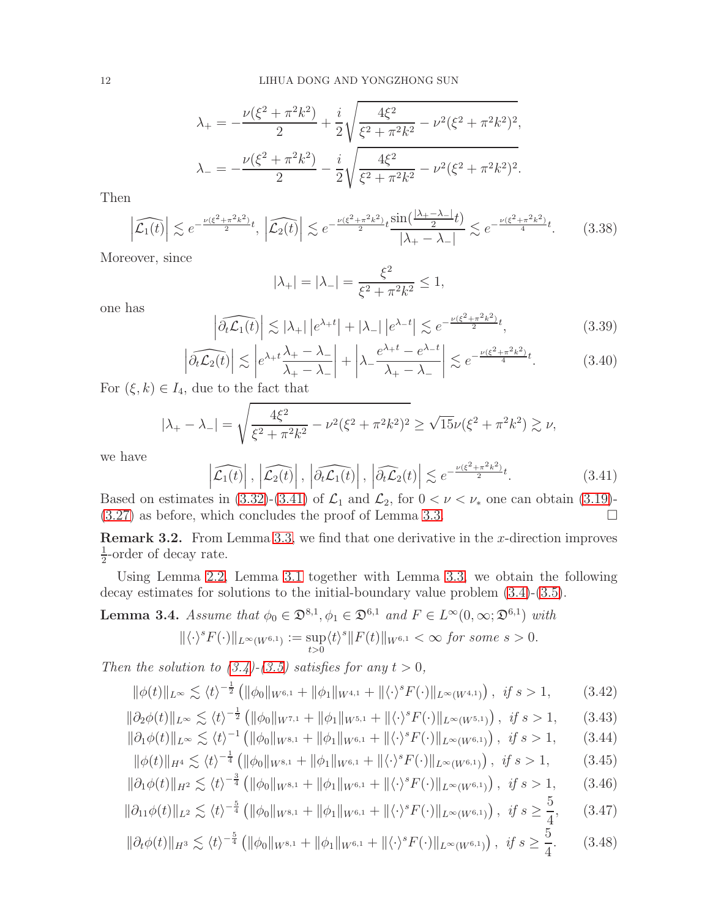$$
\lambda_{+} = -\frac{\nu(\xi^{2} + \pi^{2}k^{2})}{2} + \frac{i}{2}\sqrt{\frac{4\xi^{2}}{\xi^{2} + \pi^{2}k^{2}} - \nu^{2}(\xi^{2} + \pi^{2}k^{2})^{2}},
$$

$$
\lambda_{-} = -\frac{\nu(\xi^{2} + \pi^{2}k^{2})}{2} - \frac{i}{2}\sqrt{\frac{4\xi^{2}}{\xi^{2} + \pi^{2}k^{2}} - \nu^{2}(\xi^{2} + \pi^{2}k^{2})^{2}}.
$$

Then

$$
\left|\widehat{\mathcal{L}_1(t)}\right| \lesssim e^{-\frac{\nu(\xi^2 + \pi^2 k^2)}{2}t}, \left|\widehat{\mathcal{L}_2(t)}\right| \lesssim e^{-\frac{\nu(\xi^2 + \pi^2 k^2)}{2}t} \frac{\sin\left(\frac{|\lambda_+ - \lambda_-|}{2}t\right)}{|\lambda_+ - \lambda_-|} \lesssim e^{-\frac{\nu(\xi^2 + \pi^2 k^2)}{4}t}.\tag{3.38}
$$

Moreover, since

$$
|\lambda_+| = |\lambda_-| = \frac{\xi^2}{\xi^2 + \pi^2 k^2} \le 1,
$$

one has

$$
\left|\widehat{\partial_t \mathcal{L}_1(t)}\right| \lesssim |\lambda_+| \left| e^{\lambda_+ t} \right| + |\lambda_-| \left| e^{\lambda_- t} \right| \lesssim e^{-\frac{\nu(\xi^2 + \pi^2 k^2)}{2} t},\tag{3.39}
$$

$$
\left| \widehat{\partial_t \mathcal{L}_2(t)} \right| \lesssim \left| e^{\lambda + t} \frac{\lambda_+ - \lambda_-}{\lambda_+ - \lambda_-} \right| + \left| \lambda_- \frac{e^{\lambda_+ t} - e^{\lambda_- t}}{\lambda_+ - \lambda_-} \right| \lesssim e^{-\frac{\nu (\xi^2 + \pi^2 k^2)}{4} t}.\tag{3.40}
$$

For  $(\xi, k) \in I_4$ , due to the fact that

$$
|\lambda_{+} - \lambda_{-}| = \sqrt{\frac{4\xi^2}{\xi^2 + \pi^2 k^2} - \nu^2 (\xi^2 + \pi^2 k^2)^2} \ge \sqrt{15} \nu (\xi^2 + \pi^2 k^2) \gtrsim \nu,
$$

we have

<span id="page-11-0"></span>
$$
\left|\widehat{\mathcal{L}_{1}(t)}\right|, \left|\widehat{\mathcal{L}_{2}(t)}\right|, \left|\widehat{\partial_{t}\mathcal{L}_{1}(t)}\right|, \left|\widehat{\partial_{t}\mathcal{L}_{2}(t)}\right| \lesssim e^{-\frac{\nu(\xi^{2} + \pi^{2}k^{2})}{2}t}.
$$
\n(3.41)

Based on estimates in [\(3.32\)](#page-10-0)-[\(3.41\)](#page-11-0) of  $\mathcal{L}_1$  and  $\mathcal{L}_2$ , for  $0 < \nu < \nu_*$  one can obtain [\(3.19\)](#page-8-2)-(3.27) as before, which concludes the proof of Lemma 3.3. [\(3.27\)](#page-8-1) as before, which concludes the proof of Lemma [3.3.](#page-8-3)

**Remark 3.2.** From Lemma [3.3,](#page-8-3) we find that one derivative in the x-direction improves 1  $\frac{1}{2}$ -order of decay rate.

Using Lemma [2.2,](#page-3-0) Lemma [3.1](#page-5-3) together with Lemma [3.3,](#page-8-3) we obtain the following decay estimates for solutions to the initial-boundary value problem [\(3.4\)](#page-5-0)-[\(3.5\)](#page-5-4).

<span id="page-11-1"></span>**Lemma 3.4.** Assume that  $\phi_0 \in \mathfrak{D}^{8,1}, \phi_1 \in \mathfrak{D}^{6,1}$  and  $F \in L^{\infty}(0, \infty; \mathfrak{D}^{6,1})$  with

$$
\|\langle \cdot \rangle^s F(\cdot)\|_{L^\infty(W^{6,1})} := \sup_{t>0} \langle t \rangle^s \|F(t)\|_{W^{6,1}} < \infty \text{ for some } s > 0.
$$

Then the solution to  $(3.4)-(3.5)$  $(3.4)-(3.5)$  satisfies for any  $t > 0$ ,

$$
\|\phi(t)\|_{L^{\infty}} \lesssim \langle t \rangle^{-\frac{1}{2}} \left( \|\phi_0\|_{W^{6,1}} + \|\phi_1\|_{W^{4,1}} + \|\langle \cdot \rangle^s F(\cdot) \|_{L^{\infty}(W^{4,1})} \right), \text{ if } s > 1,
$$
 (3.42)

$$
\|\partial_2\phi(t)\|_{L^\infty} \lesssim \langle t \rangle^{-\frac{1}{2}} \left( \|\phi_0\|_{W^{7,1}} + \|\phi_1\|_{W^{5,1}} + \|\langle \cdot \rangle^s F(\cdot)\|_{L^\infty(W^{5,1})} \right), \ \text{if } s > 1,
$$
 (3.43)

$$
\|\partial_1 \phi(t)\|_{L^\infty} \lesssim \langle t \rangle^{-1} \left( \|\phi_0\|_{W^{8,1}} + \|\phi_1\|_{W^{6,1}} + \|\langle \cdot \rangle^s F(\cdot) \|_{L^\infty(W^{6,1})} \right), \text{ if } s > 1,
$$
 (3.44)  

$$
\|\phi(t)\|_{H^4} \le \langle t \rangle^{-\frac{1}{4}} \left( \|\phi_0\|_{W^{8,1}} + \|\phi_1\|_{W^{6,1}} + \|\langle \cdot \rangle^s F(\cdot) \|_{L^\infty(W^{6,1})} \right), \text{ if } s > 1.
$$
 (3.45)

$$
\|\phi(t)\|_{H^{4}} \lesssim \langle t \rangle^{-\frac{1}{4}} \left( \|\phi_{0}\|_{W^{8,1}} + \|\phi_{1}\|_{W^{6,1}} + \|\langle \cdot \rangle^{s} F(\cdot) \|_{L^{\infty}(W^{6,1})} \right), \text{ if } s > 1,
$$
 (3.45)  

$$
\|\partial_{1}\phi(t)\|_{H^{2}} \lesssim \langle t \rangle^{-\frac{3}{4}} \left( \|\phi_{0}\|_{W^{8,1}} + \|\phi_{1}\|_{W^{6,1}} + \|\langle \cdot \rangle^{s} F(\cdot) \|_{L^{\infty}(W^{6,1})} \right), \text{ if } s > 1,
$$
 (3.46)

$$
\|\partial_{11}\phi(t)\|_{L^2} \lesssim \langle t \rangle^{-\frac{5}{4}} \left( \|\phi_0\|_{W^{8,1}} + \|\phi_1\|_{W^{6,1}} + \|\langle \cdot \rangle^s F(\cdot) \|_{L^\infty(W^{6,1})} \right), \ \text{if } s \ge \frac{5}{4}, \tag{3.47}
$$

$$
\|\partial_t \phi(t)\|_{H^3} \lesssim \langle t \rangle^{-\frac{5}{4}} \left( \|\phi_0\|_{W^{8,1}} + \|\phi_1\|_{W^{6,1}} + \|\langle \cdot \rangle^s F(\cdot) \|_{L^\infty(W^{6,1})} \right), \ \text{if } s \ge \frac{5}{4}.
$$
 (3.48)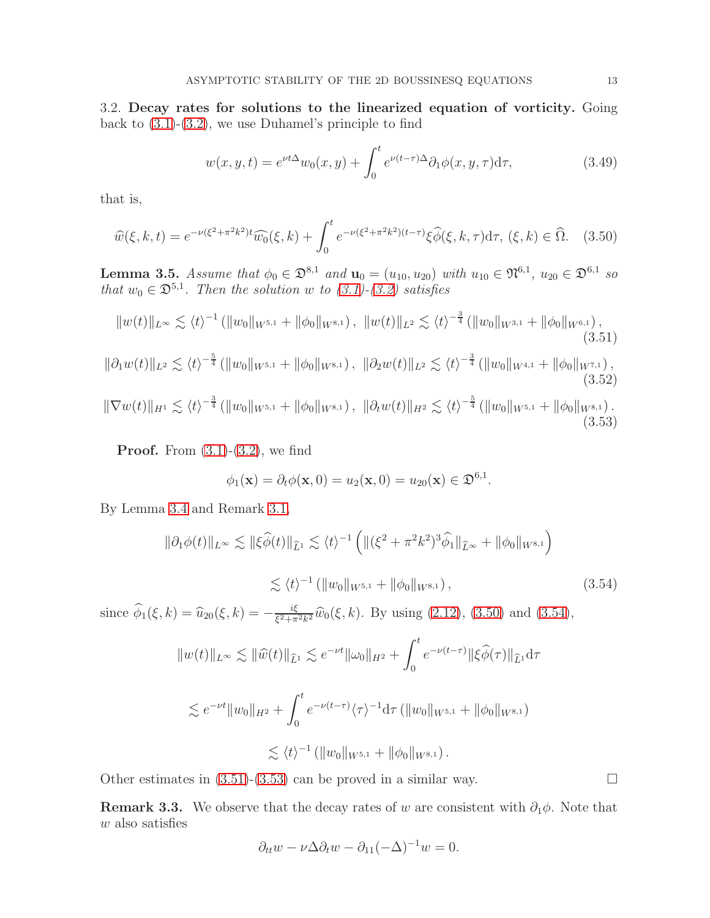3.2. Decay rates for solutions to the linearized equation of vorticity. Going back to [\(3.1\)](#page-4-0)-[\(3.2\)](#page-4-1), we use Duhamel's principle to find

$$
w(x, y, t) = e^{\nu t \Delta} w_0(x, y) + \int_0^t e^{\nu (t - \tau) \Delta} \partial_1 \phi(x, y, \tau) d\tau,
$$
\n(3.49)

that is,

<span id="page-12-0"></span>
$$
\widehat{w}(\xi, k, t) = e^{-\nu(\xi^2 + \pi^2 k^2)t} \widehat{w_0}(\xi, k) + \int_0^t e^{-\nu(\xi^2 + \pi^2 k^2)(t - \tau)} \xi \widehat{\phi}(\xi, k, \tau) d\tau, (\xi, k) \in \widehat{\Omega}. \tag{3.50}
$$

**Lemma 3.5.** Assume that  $\phi_0 \in \mathfrak{D}^{8,1}$  and  $\mathbf{u}_0 = (u_{10}, u_{20})$  with  $u_{10} \in \mathfrak{N}^{6,1}$ ,  $u_{20} \in \mathfrak{D}^{6,1}$  so that  $w_0 \in \mathfrak{D}^{5,1}$ . Then the solution w to  $(3.1)-(3.2)$  $(3.1)-(3.2)$  satisfies

<span id="page-12-2"></span>
$$
||w(t)||_{L^{\infty}} \lesssim \langle t \rangle^{-1} (||w_0||_{W^{5,1}} + ||\phi_0||_{W^{8,1}}), \ ||w(t)||_{L^2} \lesssim \langle t \rangle^{-\frac{3}{4}} (||w_0||_{W^{3,1}} + ||\phi_0||_{W^{6,1}}), \tag{3.51}
$$

$$
\|\partial_1 w(t)\|_{L^2} \lesssim \langle t \rangle^{-\frac{5}{4}} \left( \|w_0\|_{W^{5,1}} + \|\phi_0\|_{W^{8,1}} \right), \ \|\partial_2 w(t)\|_{L^2} \lesssim \langle t \rangle^{-\frac{3}{4}} \left( \|w_0\|_{W^{4,1}} + \|\phi_0\|_{W^{7,1}} \right), \tag{3.52}
$$

<span id="page-12-3"></span> $\|\nabla w(t)\|_{H^1} \lesssim \langle t \rangle^{-\frac{3}{4}} \left( \|w_0\|_{W^{5,1}} + \|\phi_0\|_{W^{8,1}} \right), \|\partial_t w(t)\|_{H^2} \lesssim \langle t \rangle^{-\frac{5}{4}} \left( \|w_0\|_{W^{5,1}} + \|\phi_0\|_{W^{8,1}} \right).$ (3.53)

**Proof.** From  $(3.1)-(3.2)$  $(3.1)-(3.2)$ , we find

$$
\phi_1(\mathbf{x}) = \partial_t \phi(\mathbf{x}, 0) = u_2(\mathbf{x}, 0) = u_{20}(\mathbf{x}) \in \mathfrak{D}^{6,1}.
$$

By Lemma [3.4](#page-11-1) and Remark [3.1,](#page-8-4)

$$
\|\partial_1 \phi(t)\|_{L^\infty} \lesssim \|\xi \widehat{\phi}(t)\|_{\widehat{L}^1} \lesssim \langle t \rangle^{-1} \left( \| (\xi^2 + \pi^2 k^2)^3 \widehat{\phi}_1 \|_{\widehat{L}^\infty} + \|\phi_0\|_{W^{8,1}} \right)
$$
  

$$
\lesssim \langle t \rangle^{-1} \left( \|w_0\|_{W^{5,1}} + \|\phi_0\|_{W^{8,1}} \right),
$$
 (3.54)

since  $\widehat{\phi}_1(\xi, k) = \widehat{u}_{20}(\xi, k) = -\frac{i\xi}{\xi^2 + \pi}$  $\frac{i\xi}{\xi^2 + \pi^2 k^2} \hat{w}_0(\xi, k)$ . By using [\(2.12\)](#page-4-6), [\(3.50\)](#page-12-0) and [\(3.54\)](#page-12-1),

<span id="page-12-1"></span>
$$
||w(t)||_{L^{\infty}} \lesssim ||\widehat{w}(t)||_{\widehat{L}^{1}} \lesssim e^{-\nu t} ||\omega_{0}||_{H^{2}} + \int_{0}^{t} e^{-\nu(t-\tau)} ||\xi \widehat{\phi}(\tau)||_{\widehat{L}^{1}} d\tau
$$

$$
\lesssim e^{-\nu t} \|w_0\|_{H^2} + \int_0^{\infty} e^{-\nu(t-\tau)} \langle \tau \rangle^{-1} d\tau \left( \|w_0\|_{W^{5,1}} + \|\phi_0\|_{W^{8,1}} \right)
$$
  

$$
\lesssim \langle t \rangle^{-1} \left( \|w_0\|_{W^{5,1}} + \|\phi_0\|_{W^{8,1}} \right).
$$

Other estimates in  $(3.51)-(3.53)$  $(3.51)-(3.53)$  can be proved in a similar way.

**Remark 3.3.** We observe that the decay rates of w are consistent with  $\partial_1 \phi$ . Note that  $w$  also satisfies

$$
\partial_{tt} w - \nu \Delta \partial_t w - \partial_{11} (-\Delta)^{-1} w = 0.
$$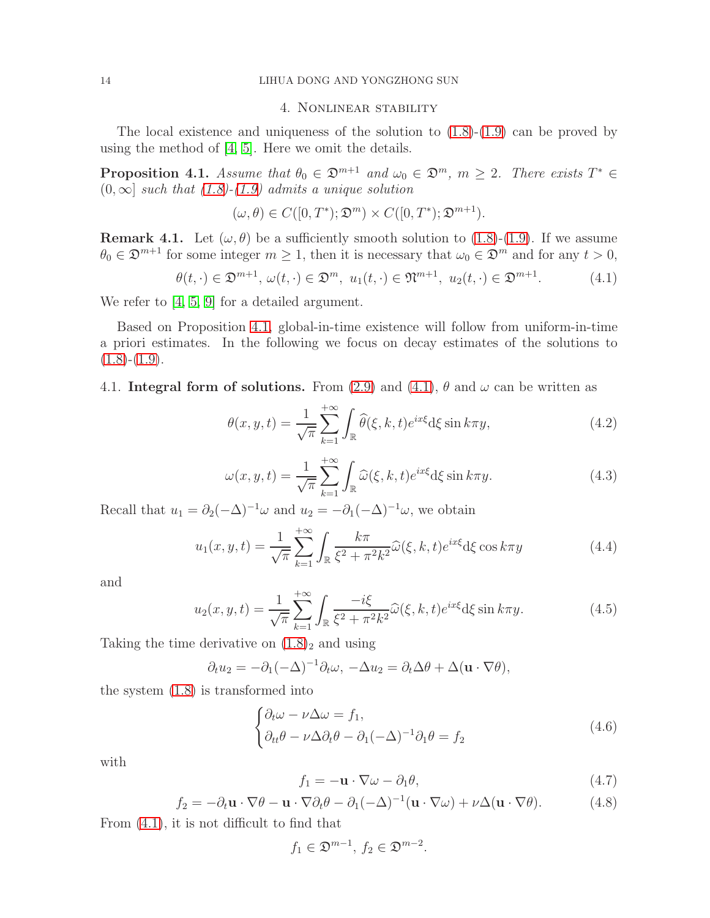# 4. Nonlinear stability

The local existence and uniqueness of the solution to  $(1.8)-(1.9)$  $(1.8)-(1.9)$  can be proved by using the method of [\[4,](#page-24-20) [5\]](#page-24-21). Here we omit the details.

<span id="page-13-0"></span>**Proposition 4.1.** Assume that  $\theta_0 \in \mathfrak{D}^{m+1}$  and  $\omega_0 \in \mathfrak{D}^m$ ,  $m \geq 2$ . There exists  $T^* \in$  $(0, \infty]$  such that  $(1.8)$ - $(1.9)$  admits a unique solution

$$
(\omega,\theta) \in C([0,T^*); \mathfrak{D}^m) \times C([0,T^*); \mathfrak{D}^{m+1}).
$$

**Remark 4.1.** Let  $(\omega, \theta)$  be a sufficiently smooth solution to [\(1.8\)](#page-1-1)-[\(1.9\)](#page-1-2). If we assume  $\theta_0 \in \mathfrak{D}^{m+1}$  for some integer  $m \geq 1$ , then it is necessary that  $\omega_0 \in \mathfrak{D}^m$  and for any  $t > 0$ ,

<span id="page-13-1"></span>
$$
\theta(t, \cdot) \in \mathfrak{D}^{m+1}, \ \omega(t, \cdot) \in \mathfrak{D}^m, \ u_1(t, \cdot) \in \mathfrak{N}^{m+1}, \ u_2(t, \cdot) \in \mathfrak{D}^{m+1}.
$$

We refer to [\[4,](#page-24-20) [5,](#page-24-21) [9\]](#page-24-16) for a detailed argument.

Based on Proposition [4.1,](#page-13-0) global-in-time existence will follow from uniform-in-time a priori estimates. In the following we focus on decay estimates of the solutions to  $(1.8)-(1.9)$  $(1.8)-(1.9)$  $(1.8)-(1.9)$ .

## 4.1. Integral form of solutions. From (2.[9\)](#page-3-1) and (4.[1\)](#page-13-1),  $\theta$  and  $\omega$  can be written as

$$
\theta(x, y, t) = \frac{1}{\sqrt{\pi}} \sum_{k=1}^{+\infty} \int_{\mathbb{R}} \widehat{\theta}(\xi, k, t) e^{ix\xi} d\xi \sin k\pi y,
$$
\n(4.2)

$$
\omega(x, y, t) = \frac{1}{\sqrt{\pi}} \sum_{k=1}^{+\infty} \int_{\mathbb{R}} \widehat{\omega}(\xi, k, t) e^{ix\xi} d\xi \sin k\pi y.
$$
 (4.3)

Recall that  $u_1 = \partial_2(-\Delta)^{-1}\omega$  and  $u_2 = -\partial_1(-\Delta)^{-1}\omega$ , we obtain

<span id="page-13-2"></span>
$$
u_1(x, y, t) = \frac{1}{\sqrt{\pi}} \sum_{k=1}^{+\infty} \int_{\mathbb{R}} \frac{k\pi}{\xi^2 + \pi^2 k^2} \widehat{\omega}(\xi, k, t) e^{ix\xi} d\xi \cos k\pi y \tag{4.4}
$$

and

<span id="page-13-3"></span>
$$
u_2(x, y, t) = \frac{1}{\sqrt{\pi}} \sum_{k=1}^{+\infty} \int_{\mathbb{R}} \frac{-i\xi}{\xi^2 + \pi^2 k^2} \widehat{\omega}(\xi, k, t) e^{ix\xi} d\xi \sin k\pi y.
$$
 (4.5)

Taking the time derivative on  $(1.8)$  $(1.8)$ <sub>2</sub> and using

$$
\partial_t u_2 = -\partial_1(-\Delta)^{-1}\partial_t \omega, \ -\Delta u_2 = \partial_t \Delta \theta + \Delta(\mathbf{u} \cdot \nabla \theta),
$$

the system (1.[8\)](#page-1-1) is transformed into

$$
\begin{cases} \partial_t \omega - \nu \Delta \omega = f_1, \\ \partial_{tt} \theta - \nu \Delta \partial_t \theta - \partial_1 (-\Delta)^{-1} \partial_1 \theta = f_2 \end{cases}
$$
(4.6)

with

$$
f_1 = -\mathbf{u} \cdot \nabla \omega - \partial_1 \theta,\tag{4.7}
$$

$$
f_2 = -\partial_t \mathbf{u} \cdot \nabla \theta - \mathbf{u} \cdot \nabla \partial_t \theta - \partial_1 (-\Delta)^{-1} (\mathbf{u} \cdot \nabla \omega) + \nu \Delta (\mathbf{u} \cdot \nabla \theta). \tag{4.8}
$$

From [\(4.1\)](#page-13-1), it is not difficult to find that

$$
f_1 \in \mathfrak{D}^{m-1}, \, f_2 \in \mathfrak{D}^{m-2}.
$$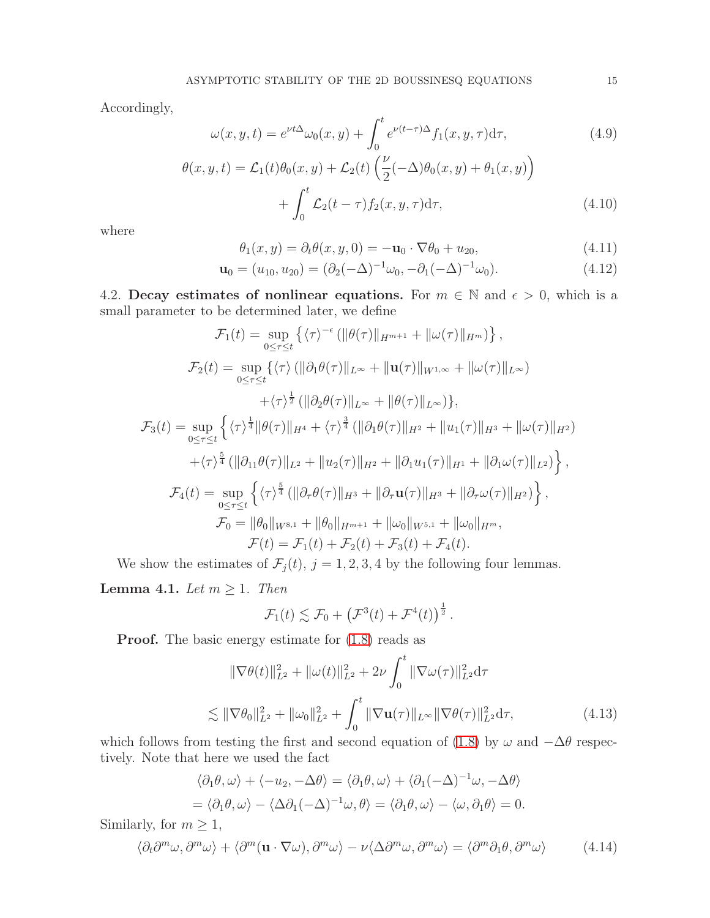Accordingly,

<span id="page-14-3"></span>
$$
\omega(x, y, t) = e^{\nu t \Delta} \omega_0(x, y) + \int_0^t e^{\nu (t - \tau) \Delta} f_1(x, y, \tau) d\tau,
$$
\n(4.9)

$$
\theta(x, y, t) = \mathcal{L}_1(t)\theta_0(x, y) + \mathcal{L}_2(t)\left(\frac{\nu}{2}(-\Delta)\theta_0(x, y) + \theta_1(x, y)\right) + \int_0^t \mathcal{L}_2(t - \tau) f_2(x, y, \tau) d\tau,
$$
\n(4.10)

where

<span id="page-14-2"></span>
$$
\theta_1(x, y) = \partial_t \theta(x, y, 0) = -\mathbf{u}_0 \cdot \nabla \theta_0 + u_{20}, \tag{4.11}
$$

$$
\mathbf{u}_0 = (u_{10}, u_{20}) = (\partial_2(-\Delta)^{-1}\omega_0, -\partial_1(-\Delta)^{-1}\omega_0). \tag{4.12}
$$

4.2. Decay estimates of nonlinear equations. For  $m \in \mathbb{N}$  and  $\epsilon > 0$ , which is a small parameter to be determined later, we define

$$
\mathcal{F}_1(t) = \sup_{0 \leq \tau \leq t} \left\{ \langle \tau \rangle^{-\epsilon} \left( \|\theta(\tau)\|_{H^{m+1}} + \|\omega(\tau)\|_{H^m} \right) \right\},
$$
\n
$$
\mathcal{F}_2(t) = \sup_{0 \leq \tau \leq t} \left\{ \langle \tau \rangle \left( \|\partial_1 \theta(\tau)\|_{L^\infty} + \|\mathbf{u}(\tau)\|_{W^{1,\infty}} + \|\omega(\tau)\|_{L^\infty} \right) \right\},
$$
\n
$$
+ \langle \tau \rangle^{\frac{1}{2}} \left( \|\partial_2 \theta(\tau)\|_{L^\infty} + \|\theta(\tau)\|_{L^\infty} \right) \right\},
$$
\n
$$
\mathcal{F}_3(t) = \sup_{0 \leq \tau \leq t} \left\{ \langle \tau \rangle^{\frac{1}{4}} \|\theta(\tau)\|_{H^4} + \langle \tau \rangle^{\frac{3}{4}} \left( \|\partial_1 \theta(\tau)\|_{H^2} + \|\mathbf{u}_1(\tau)\|_{H^3} + \|\omega(\tau)\|_{H^2} \right) \right\},
$$
\n
$$
+ \langle \tau \rangle^{\frac{5}{4}} \left( \|\partial_{11} \theta(\tau)\|_{L^2} + \|\mathbf{u}_2(\tau)\|_{H^2} + \|\partial_1 \mathbf{u}_1(\tau)\|_{H^1} + \|\partial_1 \omega(\tau)\|_{L^2} \right) \right\},
$$
\n
$$
\mathcal{F}_4(t) = \sup_{0 \leq \tau \leq t} \left\{ \langle \tau \rangle^{\frac{5}{4}} \left( \|\partial_\tau \theta(\tau)\|_{H^3} + \|\partial_\tau \mathbf{u}(\tau)\|_{H^3} + \|\partial_\tau \omega(\tau)\|_{H^2} \right) \right\},
$$
\n
$$
\mathcal{F}_0 = \|\theta_0\|_{W^{8,1}} + \|\theta_0\|_{H^{m+1}} + \|\omega_0\|_{W^{5,1}} + \|\omega_0\|_{H^m},
$$
\n
$$
\mathcal{F}(t) = \mathcal{F}_1(t) + \mathcal{F}_2(t) + \mathcal{F}_3(t) + \mathcal{F}_4(t).
$$

We show the estimates of  $\mathcal{F}_j(t)$ ,  $j = 1, 2, 3, 4$  by the following four lemmas.

<span id="page-14-4"></span>Lemma 4.1. Let  $m \geq 1$ . Then

$$
\mathcal{F}_1(t) \lesssim \mathcal{F}_0 + \left(\mathcal{F}^3(t) + \mathcal{F}^4(t)\right)^{\frac{1}{2}}.
$$

**Proof.** The basic energy estimate for  $(1.8)$  reads as

<span id="page-14-1"></span>
$$
\|\nabla\theta(t)\|_{L^2}^2 + \|\omega(t)\|_{L^2}^2 + 2\nu \int_0^t \|\nabla\omega(\tau)\|_{L^2}^2 d\tau
$$
  

$$
\lesssim \|\nabla\theta_0\|_{L^2}^2 + \|\omega_0\|_{L^2}^2 + \int_0^t \|\nabla\mathbf{u}(\tau)\|_{L^\infty} \|\nabla\theta(\tau)\|_{L^2}^2 d\tau,
$$
 (4.13)

which follows from testing the first and second equation of [\(1.8\)](#page-1-1) by  $\omega$  and  $-\Delta\theta$  respectively. Note that here we used the fact

$$
\langle \partial_1 \theta, \omega \rangle + \langle -u_2, -\Delta \theta \rangle = \langle \partial_1 \theta, \omega \rangle + \langle \partial_1 (-\Delta)^{-1} \omega, -\Delta \theta \rangle
$$
  
= 
$$
\langle \partial_1 \theta, \omega \rangle - \langle \Delta \partial_1 (-\Delta)^{-1} \omega, \theta \rangle = \langle \partial_1 \theta, \omega \rangle - \langle \omega, \partial_1 \theta \rangle = 0.
$$

Similarly, for  $m \geq 1$ ,

<span id="page-14-0"></span>
$$
\langle \partial_t \partial^m \omega, \partial^m \omega \rangle + \langle \partial^m (\mathbf{u} \cdot \nabla \omega), \partial^m \omega \rangle - \nu \langle \Delta \partial^m \omega, \partial^m \omega \rangle = \langle \partial^m \partial_1 \theta, \partial^m \omega \rangle \tag{4.14}
$$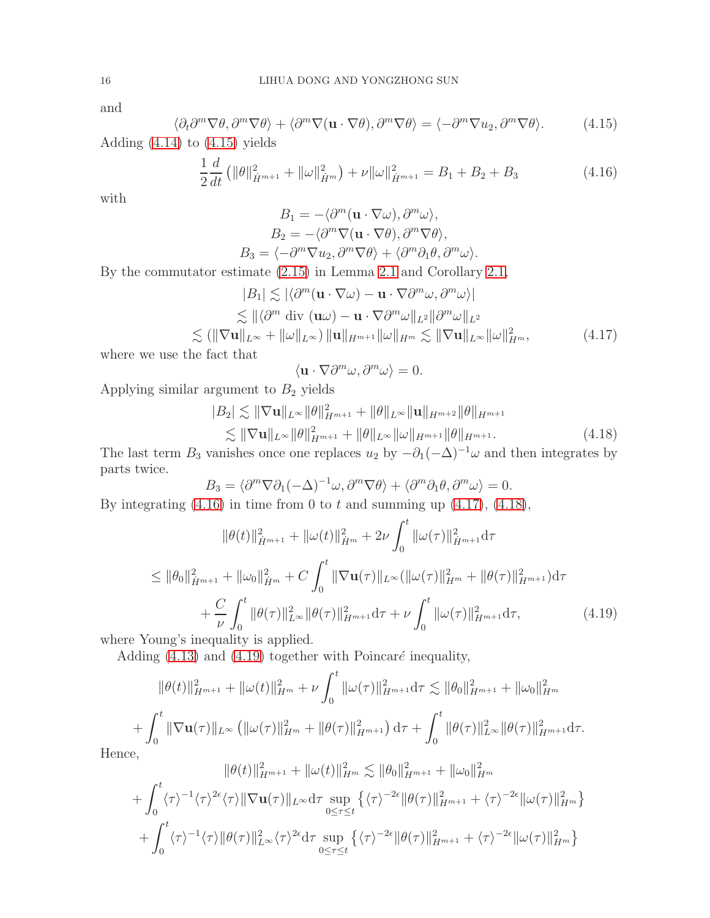and

<span id="page-15-0"></span>
$$
\langle \partial_t \partial^m \nabla \theta, \partial^m \nabla \theta \rangle + \langle \partial^m \nabla (\mathbf{u} \cdot \nabla \theta), \partial^m \nabla \theta \rangle = \langle -\partial^m \nabla u_2, \partial^m \nabla \theta \rangle. \tag{4.15}
$$

Adding [\(4.14\)](#page-14-0) to [\(4.15\)](#page-15-0) yields

<span id="page-15-1"></span>
$$
\frac{1}{2}\frac{d}{dt}\left(\|\theta\|_{\dot{H}^{m+1}}^2 + \|\omega\|_{\dot{H}^m}^2\right) + \nu\|\omega\|_{\dot{H}^{m+1}}^2 = B_1 + B_2 + B_3\tag{4.16}
$$

with

$$
B_1 = -\langle \partial^m (\mathbf{u} \cdot \nabla \omega), \partial^m \omega \rangle,
$$
  
\n
$$
B_2 = -\langle \partial^m \nabla (\mathbf{u} \cdot \nabla \theta), \partial^m \nabla \theta \rangle,
$$
  
\n
$$
B_3 = \langle -\partial^m \nabla u_2, \partial^m \nabla \theta \rangle + \langle \partial^m \partial_1 \theta, \partial^m \omega \rangle.
$$

By the commutator estimate [\(2.15\)](#page-4-2) in Lemma [2.1](#page-3-2) and Corollary [2.1,](#page-4-7)

<span id="page-15-2"></span>
$$
|B_1| \lesssim |\langle \partial^m (\mathbf{u} \cdot \nabla \omega) - \mathbf{u} \cdot \nabla \partial^m \omega, \partial^m \omega \rangle|
$$
  
\n
$$
\lesssim ||\langle \partial^m \text{div } (\mathbf{u}\omega) - \mathbf{u} \cdot \nabla \partial^m \omega||_{L^2} ||\partial^m \omega||_{L^2}
$$
  
\n
$$
\lesssim (||\nabla \mathbf{u}||_{L^{\infty}} + ||\omega||_{L^{\infty}}) ||\mathbf{u}||_{H^{m+1}} ||\omega||_{H^m} \lesssim ||\nabla \mathbf{u}||_{L^{\infty}} ||\omega||_{H^m}^2, \tag{4.17}
$$

where we use the fact that

$$
\langle \mathbf{u}\cdot\nabla\partial^m\omega,\partial^m\omega\rangle=0.
$$

Applying similar argument to  $B_2$  yields

<span id="page-15-3"></span>
$$
|B_2| \lesssim \|\nabla \mathbf{u}\|_{L^{\infty}} \|\theta\|_{H^{m+1}}^2 + \|\theta\|_{L^{\infty}} \|\mathbf{u}\|_{H^{m+2}} \|\theta\|_{H^{m+1}} \lesssim \|\nabla \mathbf{u}\|_{L^{\infty}} \|\theta\|_{H^{m+1}}^2 + \|\theta\|_{L^{\infty}} \|\omega\|_{H^{m+1}} \|\theta\|_{H^{m+1}}.
$$
\n(4.18)

The last term  $B_3$  vanishes once one replaces  $u_2$  by  $-\partial_1(-\Delta)^{-1}\omega$  and then integrates by parts twice.

$$
B_3 = \langle \partial^m \nabla \partial_1 (-\Delta)^{-1} \omega, \partial^m \nabla \theta \rangle + \langle \partial^m \partial_1 \theta, \partial^m \omega \rangle = 0.
$$

By integrating  $(4.16)$  in time from 0 to t and summing up  $(4.17)$ ,  $(4.18)$ ,

$$
\|\theta(t)\|_{\dot{H}^{m+1}}^2 + \|\omega(t)\|_{\dot{H}^m}^2 + 2\nu \int_0^t \|\omega(\tau)\|_{\dot{H}^{m+1}}^2 d\tau
$$
  
\n
$$
\leq \|\theta_0\|_{\dot{H}^{m+1}}^2 + \|\omega_0\|_{\dot{H}^m}^2 + C \int_0^t \|\nabla \mathbf{u}(\tau)\|_{L^\infty} (\|\omega(\tau)\|_{H^m}^2 + \|\theta(\tau)\|_{H^{m+1}}^2) d\tau
$$
  
\n
$$
+ \frac{C}{\nu} \int_0^t \|\theta(\tau)\|_{L^\infty}^2 \|\theta(\tau)\|_{H^{m+1}}^2 d\tau + \nu \int_0^t \|\omega(\tau)\|_{H^{m+1}}^2 d\tau,
$$
\n(4.19)

where Young's inequality is applied.

Adding  $(4.13)$  and  $(4.19)$  together with Poincaré inequality,

<span id="page-15-4"></span>
$$
\|\theta(t)\|_{H^{m+1}}^2 + \|\omega(t)\|_{H^m}^2 + \nu \int_0^t \|\omega(\tau)\|_{H^{m+1}}^2 d\tau \lesssim \|\theta_0\|_{H^{m+1}}^2 + \|\omega_0\|_{H^m}^2
$$
  
+ 
$$
\int_0^t \|\nabla \mathbf{u}(\tau)\|_{L^\infty} \left( \|\omega(\tau)\|_{H^m}^2 + \|\theta(\tau)\|_{H^{m+1}}^2 \right) d\tau + \int_0^t \|\theta(\tau)\|_{L^\infty}^2 \|\theta(\tau)\|_{H^{m+1}}^2 d\tau.
$$

 $22.22 \times 10^{-2}$ 

Hence,

$$
\|\theta(t)\|_{H^{m+1}}^2 + \|\omega(t)\|_{H^m}^2 \lesssim \|\theta_0\|_{H^{m+1}}^2 + \|\omega_0\|_{H^m}^2
$$
  
+ 
$$
\int_0^t \langle \tau \rangle^{-1} \langle \tau \rangle^{2\epsilon} \langle \tau \rangle \|\nabla \mathbf{u}(\tau)\|_{L^\infty} d\tau \sup_{0 \le \tau \le t} \{ \langle \tau \rangle^{-2\epsilon} \|\theta(\tau)\|_{H^{m+1}}^2 + \langle \tau \rangle^{-2\epsilon} \|\omega(\tau)\|_{H^m}^2 \}+ \int_0^t \langle \tau \rangle^{-1} \langle \tau \rangle \|\theta(\tau)\|_{L^\infty}^2 \langle \tau \rangle^{2\epsilon} d\tau \sup_{0 \le \tau \le t} \{ \langle \tau \rangle^{-2\epsilon} \|\theta(\tau)\|_{H^{m+1}}^2 + \langle \tau \rangle^{-2\epsilon} \|\omega(\tau)\|_{H^m}^2 \}
$$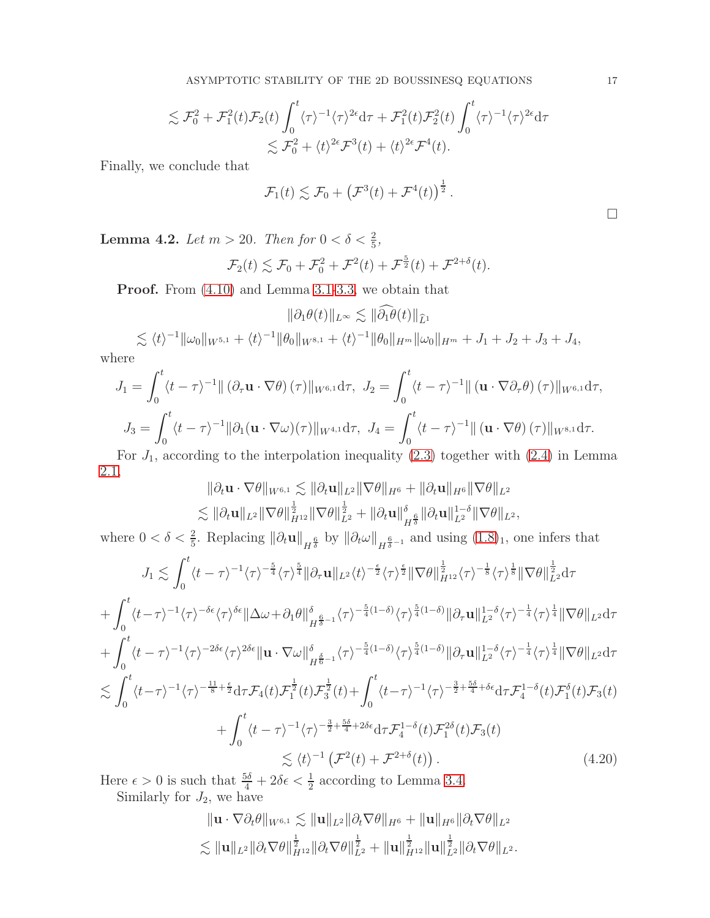ASYMPTOTIC STABILITY OF THE 2D BOUSSINESQ EQUATIONS 17

$$
\lesssim \mathcal{F}_0^2 + \mathcal{F}_1^2(t)\mathcal{F}_2(t) \int_0^t \langle \tau \rangle^{-1} \langle \tau \rangle^{2\epsilon} d\tau + \mathcal{F}_1^2(t)\mathcal{F}_2^2(t) \int_0^t \langle \tau \rangle^{-1} \langle \tau \rangle^{2\epsilon} d\tau
$$
  

$$
\lesssim \mathcal{F}_0^2 + \langle t \rangle^{2\epsilon} \mathcal{F}^3(t) + \langle t \rangle^{2\epsilon} \mathcal{F}^4(t).
$$

Finally, we conclude that

$$
\mathcal{F}_1(t) \lesssim \mathcal{F}_0 + \left(\mathcal{F}^3(t) + \mathcal{F}^4(t)\right)^{\frac{1}{2}}.
$$

<span id="page-16-1"></span>**Lemma 4.2.** Let  $m > 20$ . Then for  $0 < \delta < \frac{2}{5}$ ,

$$
\mathcal{F}_2(t) \lesssim \mathcal{F}_0 + \mathcal{F}_0^2 + \mathcal{F}^2(t) + \mathcal{F}^{\frac{5}{2}}(t) + \mathcal{F}^{2+\delta}(t).
$$

Proof. From [\(4.10\)](#page-14-2) and Lemma [3.1](#page-5-3)[-3.3,](#page-8-3) we obtain that

$$
\|\partial_1 \theta(t)\|_{L^\infty} \lesssim \|\widehat{\partial_1 \theta}(t)\|_{\widehat{L}^1}
$$

 $\lesssim \langle t \rangle^{-1} \|\omega_0\|_{W^{5,1}} + \langle t \rangle^{-1} \|\theta_0\|_{W^{8,1}} + \langle t \rangle^{-1} \|\theta_0\|_{H^m} \|\omega_0\|_{H^m} + J_1 + J_2 + J_3 + J_4,$ where

$$
J_1 = \int_0^t \langle t - \tau \rangle^{-1} || (\partial_\tau \mathbf{u} \cdot \nabla \theta)(\tau) ||_{W^{6,1}} d\tau, J_2 = \int_0^t \langle t - \tau \rangle^{-1} || (\mathbf{u} \cdot \nabla \partial_\tau \theta)(\tau) ||_{W^{6,1}} d\tau,
$$
  

$$
J_3 = \int_0^t \langle t - \tau \rangle^{-1} || \partial_1 (\mathbf{u} \cdot \nabla \omega)(\tau) ||_{W^{4,1}} d\tau, J_4 = \int_0^t \langle t - \tau \rangle^{-1} || (\mathbf{u} \cdot \nabla \theta)(\tau) ||_{W^{8,1}} d\tau.
$$

For  $J_1$ , according to the interpolation inequality [\(2.3\)](#page-3-3) together with [\(2.4\)](#page-3-4) in Lemma [2.1,](#page-3-2)

$$
\|\partial_t \mathbf{u} \cdot \nabla \theta\|_{W^{6,1}} \lesssim \|\partial_t \mathbf{u}\|_{L^2} \|\nabla \theta\|_{H^6} + \|\partial_t \mathbf{u}\|_{H^6} \|\nabla \theta\|_{L^2} \lesssim \|\partial_t \mathbf{u}\|_{L^2} \|\nabla \theta\|_{H^{12}}^{\frac{1}{2}} \|\nabla \theta\|_{L^2}^{\frac{1}{2}} + \|\partial_t \mathbf{u}\|_{H^{\frac{6}{3}}}^{\delta} \|\partial_t \mathbf{u}\|_{L^2}^{1-\delta} \|\nabla \theta\|_{L^2},
$$

where  $0 < \delta < \frac{2}{5}$ . Replacing  $\|\partial_t \mathbf{u}\|_{H^{\frac{6}{\delta}}}$  by  $\|\partial_t \omega\|_{H^{\frac{6}{\delta}-1}}$  and using  $(1.8)_1$  $(1.8)_1$  $(1.8)_1$ , one infers that

$$
J_{1} \lesssim \int_{0}^{t} \langle t-\tau \rangle^{-1} \langle \tau \rangle^{-\frac{5}{4}} \langle \tau \rangle^{\frac{5}{4}} ||\partial_{\tau} \mathbf{u}||_{L^{2}} \langle t \rangle^{-\frac{\epsilon}{2}} \langle \tau \rangle^{\frac{\epsilon}{2}} ||\nabla \theta||_{H^{12}}^{\frac{1}{2}} \langle \tau \rangle^{-\frac{1}{8}} \langle \tau \rangle^{\frac{1}{8}} ||\nabla \theta||_{L^{2}}^{\frac{1}{2}} d\tau + \int_{0}^{t} \langle t-\tau \rangle^{-1} \langle \tau \rangle^{-\delta \epsilon} \langle \tau \rangle^{\delta \epsilon} ||\Delta \omega + \partial_{1} \theta||_{H^{\frac{6}{5}-1}}^{\delta} \langle \tau \rangle^{-\frac{5}{4}(1-\delta)} \langle \tau \rangle^{\frac{5}{4}(1-\delta)} ||\partial_{\tau} \mathbf{u}||_{L^{2}}^{1-\delta} \langle \tau \rangle^{-\frac{1}{4}} \langle \tau \rangle^{\frac{1}{4}} ||\nabla \theta||_{L^{2}} d\tau + \int_{0}^{t} \langle t-\tau \rangle^{-1} \langle \tau \rangle^{-2\delta \epsilon} \langle \tau \rangle^{2\delta \epsilon} ||\mathbf{u} \cdot \nabla \omega||_{H^{\frac{6}{6}-1}}^{\delta} \langle \tau \rangle^{-\frac{5}{4}(1-\delta)} \langle \tau \rangle^{\frac{5}{4}(1-\delta)} ||\partial_{\tau} \mathbf{u}||_{L^{2}}^{1-\delta} \langle \tau \rangle^{-\frac{1}{4}} \langle \tau \rangle^{\frac{1}{4}} ||\nabla \theta||_{L^{2}} d\tau \n\lesssim \int_{0}^{t} \langle t-\tau \rangle^{-1} \langle \tau \rangle^{-\frac{11}{8}+\frac{\epsilon}{2}} d\tau \mathcal{F}_{4}(t) \mathcal{F}_{1}^{\frac{1}{2}}(t) \mathcal{F}_{3}^{\frac{1}{2}}(t) + \int_{0}^{t} \langle t-\tau \rangle^{-1} \langle \tau \rangle^{-\frac{3}{2}+\frac{5\delta}{4}+\delta \epsilon} d\tau \mathcal{F}_{4}^{1-\delta}(t) \mathcal{F}_{1}^{\delta}(t) \mathcal{F}_{3}(t) + \int_{0}^{t} \langle t-\tau \rangle^{-1} \langle \tau \rangle^{-\frac{3}{2}
$$

Here  $\epsilon > 0$  is such that  $\frac{5\delta}{4} + 2\delta\epsilon < \frac{1}{2}$  according to Lemma [3.4.](#page-11-1)

Similarly for  $J_2$ , we have

<span id="page-16-0"></span>
$$
\|\mathbf{u} \cdot \nabla \partial_t \theta\|_{W^{6,1}} \lesssim \|\mathbf{u}\|_{L^2} \|\partial_t \nabla \theta\|_{H^6} + \|\mathbf{u}\|_{H^6} \|\partial_t \nabla \theta\|_{L^2}
$$
  

$$
\lesssim \|\mathbf{u}\|_{L^2} \|\partial_t \nabla \theta\|_{H^{12}}^{\frac{1}{2}} \|\partial_t \nabla \theta\|_{L^2}^{\frac{1}{2}} + \|\mathbf{u}\|_{H^{12}}^{\frac{1}{2}} \|\mathbf{u}\|_{L^2}^{\frac{1}{2}} \|\partial_t \nabla \theta\|_{L^2}.
$$

 $\Box$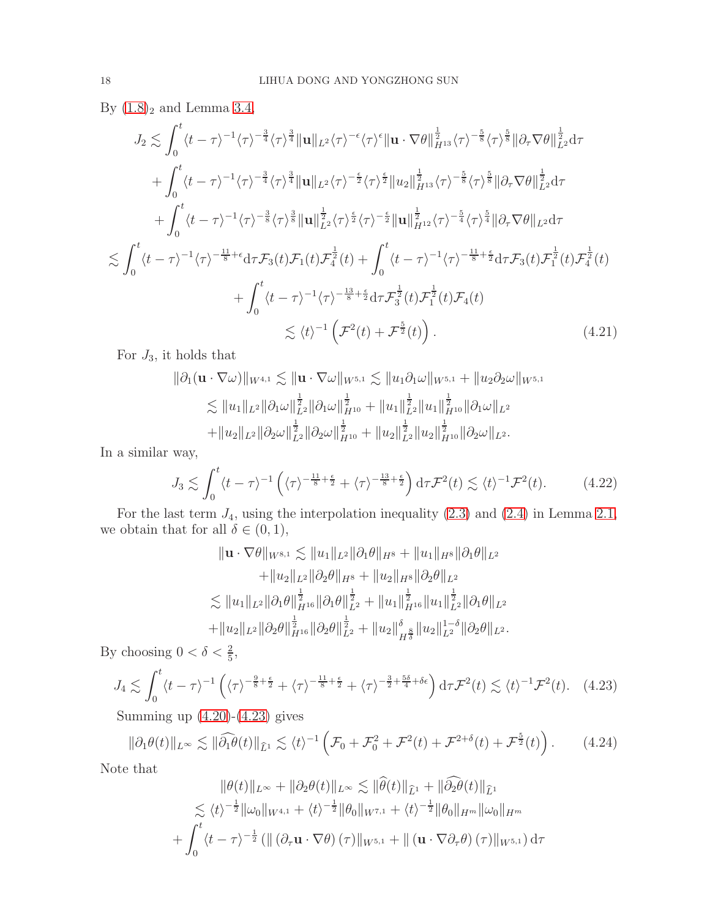By  $(1.8)<sub>2</sub>$  and Lemma [3.4,](#page-11-1)

$$
J_{2} \lesssim \int_{0}^{t} \langle t-\tau \rangle^{-1} \langle \tau \rangle^{-\frac{3}{4}} \langle \tau \rangle^{\frac{3}{4}} \|\mathbf{u}\|_{L^{2}} \langle \tau \rangle^{-\epsilon} \langle \tau \rangle^{\epsilon} \|\mathbf{u} \cdot \nabla \theta\|_{H^{13}}^{\frac{1}{2}} \langle \tau \rangle^{-\frac{5}{8}} \langle \tau \rangle^{\frac{5}{8}} \|\partial_{\tau} \nabla \theta\|_{L^{2}}^{\frac{1}{2}} d\tau + \int_{0}^{t} \langle t-\tau \rangle^{-1} \langle \tau \rangle^{-\frac{3}{4}} \langle \tau \rangle^{\frac{3}{4}} \|\mathbf{u}\|_{L^{2}} \langle \tau \rangle^{-\frac{\epsilon}{2}} \langle \tau \rangle^{\frac{\epsilon}{2}} \|\mathbf{u}_{2}\|_{H^{13}}^{\frac{1}{2}} \langle \tau \rangle^{-\frac{5}{8}} \langle \tau \rangle^{\frac{5}{8}} \|\partial_{\tau} \nabla \theta\|_{L^{2}}^{\frac{1}{2}} d\tau + \int_{0}^{t} \langle t-\tau \rangle^{-1} \langle \tau \rangle^{-\frac{3}{8}} \langle \tau \rangle^{\frac{3}{8}} \|\mathbf{u}\|_{L^{2}}^{\frac{1}{2}} \langle \tau \rangle^{\frac{\epsilon}{2}} \langle \tau \rangle^{-\frac{\epsilon}{2}} \|\mathbf{u}\|_{H^{12}}^{\frac{1}{2}} \langle \tau \rangle^{-\frac{5}{4}} \langle \tau \rangle^{\frac{5}{4}} \|\partial_{\tau} \nabla \theta\|_{L^{2}} d\tau \leq \int_{0}^{t} \langle t-\tau \rangle^{-1} \langle \tau \rangle^{-\frac{11}{8}+\epsilon} d\tau \mathcal{F}_{3}(t) \mathcal{F}_{1}(t) \mathcal{F}_{4}^{\frac{1}{2}}(t) + \int_{0}^{t} \langle t-\tau \rangle^{-1} \langle \tau \rangle^{-\frac{11}{8}+\frac{\epsilon}{2}} d\tau \mathcal{F}_{3}(t) \mathcal{F}_{1}^{\frac{1}{2}}(t) \mathcal{F}_{4}^{\frac{1}{2}}(t) + \int_{0}^{t} \langle t-\tau \rangle^{-1} \langle \tau \rangle^{-\frac{13}{8}+\frac{\epsilon}{2}} d\tau \mathcal{F}_{3}^{\frac{1}{2}}(
$$

For  $J_3$ , it holds that

$$
\|\partial_1 (\mathbf{u} \cdot \nabla \omega)\|_{W^{4,1}} \lesssim \|\mathbf{u} \cdot \nabla \omega\|_{W^{5,1}} \lesssim \|u_1 \partial_1 \omega\|_{W^{5,1}} + \|u_2 \partial_2 \omega\|_{W^{5,1}} \lesssim \|u_1\|_{L^2} \|\partial_1 \omega\|_{L^2}^{\frac{1}{2}} \|\partial_1 \omega\|_{H^{10}}^{\frac{1}{2}} + \|u_1\|_{L^2}^{\frac{1}{2}} \|u_1\|_{H^{10}}^{\frac{1}{2}} \|\partial_1 \omega\|_{L^2} + \|u_2\|_{L^2} \|\partial_2 \omega\|_{L^2}^{\frac{1}{2}} \|\partial_2 \omega\|_{H^{10}}^{\frac{1}{2}} + \|u_2\|_{L^2}^{\frac{1}{2}} \|u_2\|_{H^{10}}^{\frac{1}{2}} \|\partial_2 \omega\|_{L^2}.
$$

In a similar way,

$$
J_3 \lesssim \int_0^t \langle t - \tau \rangle^{-1} \left( \langle \tau \rangle^{-\frac{11}{8} + \frac{\epsilon}{2}} + \langle \tau \rangle^{-\frac{13}{8} + \frac{\epsilon}{2}} \right) d\tau \mathcal{F}^2(t) \lesssim \langle t \rangle^{-1} \mathcal{F}^2(t). \tag{4.22}
$$

For the last term  $J_4$ , using the interpolation inequality  $(2.3)$  and  $(2.4)$  in Lemma [2.1,](#page-3-2) we obtain that for all  $\delta \in (0,1)$ ,

$$
\|\mathbf{u} \cdot \nabla \theta\|_{W^{8,1}} \lesssim \|u_1\|_{L^2} \|\partial_1 \theta\|_{H^8} + \|u_1\|_{H^8} \|\partial_1 \theta\|_{L^2}
$$
  
 
$$
+ \|u_2\|_{L^2} \|\partial_2 \theta\|_{H^8} + \|u_2\|_{H^8} \|\partial_2 \theta\|_{L^2}
$$
  
 
$$
\lesssim \|u_1\|_{L^2} \|\partial_1 \theta\|_{H^{16}}^{\frac{1}{2}} \|\partial_1 \theta\|_{L^2}^{\frac{1}{2}} + \|u_1\|_{H^{16}}^{\frac{1}{2}} \|u_1\|_{L^2}^{\frac{1}{2}} \|\partial_1 \theta\|_{L^2}
$$
  
 
$$
+ \|u_2\|_{L^2} \|\partial_2 \theta\|_{H^{16}}^{\frac{1}{2}} \|\partial_2 \theta\|_{L^2}^{\frac{1}{2}} + \|u_2\|_{H^{\frac{8}{3}}}^{\delta} \|u_2\|_{L^2}^{1-\delta} \|\partial_2 \theta\|_{L^2}.
$$

By choosing  $0 < \delta < \frac{2}{5}$ ,

<span id="page-17-0"></span>
$$
J_4 \lesssim \int_0^t \langle t - \tau \rangle^{-1} \left( \langle \tau \rangle^{-\frac{9}{8} + \frac{\epsilon}{2}} + \langle \tau \rangle^{-\frac{11}{8} + \frac{\epsilon}{2}} + \langle \tau \rangle^{-\frac{3}{2} + \frac{5\delta}{4} + \delta \epsilon} \right) d\tau \mathcal{F}^2(t) \lesssim \langle t \rangle^{-1} \mathcal{F}^2(t). \tag{4.23}
$$

Summing up  $(4.20)-(4.23)$  $(4.20)-(4.23)$  gives

<span id="page-17-1"></span>
$$
\|\partial_1\theta(t)\|_{L^\infty} \lesssim \|\widehat{\partial_1\theta}(t)\|_{\widehat{L}^1} \lesssim \langle t \rangle^{-1} \left(\mathcal{F}_0 + \mathcal{F}_0^2 + \mathcal{F}^2(t) + \mathcal{F}^{2+\delta}(t) + \mathcal{F}^{\frac{5}{2}}(t)\right). \tag{4.24}
$$

Note that

$$
\|\theta(t)\|_{L^{\infty}} + \|\partial_2\theta(t)\|_{L^{\infty}} \lesssim \|\theta(t)\|_{\widehat{L}^1} + \|\partial_2\theta(t)\|_{\widehat{L}^1}
$$
  

$$
\lesssim \langle t \rangle^{-\frac{1}{2}} \|\omega_0\|_{W^{4,1}} + \langle t \rangle^{-\frac{1}{2}} \|\theta_0\|_{W^{7,1}} + \langle t \rangle^{-\frac{1}{2}} \|\theta_0\|_{H^m} \|\omega_0\|_{H^m}
$$
  

$$
+ \int_0^t \langle t - \tau \rangle^{-\frac{1}{2}} \left( \|\left(\partial_\tau \mathbf{u} \cdot \nabla \theta\right)(\tau)\|_{W^{5,1}} + \|\left(\mathbf{u} \cdot \nabla \partial_\tau \theta\right)(\tau)\|_{W^{5,1}} \right) d\tau
$$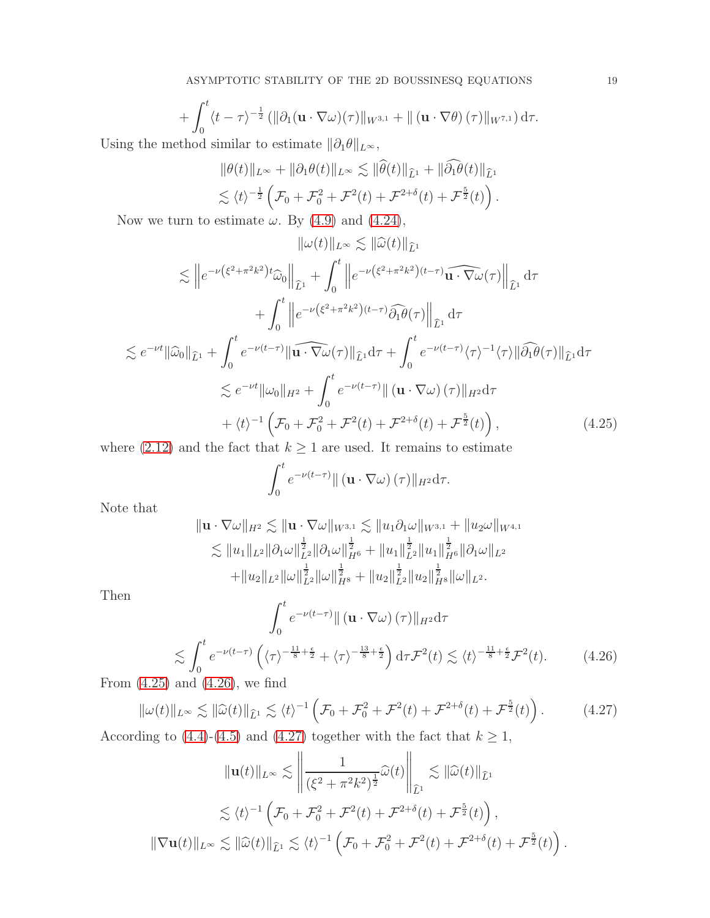$$
+\int_0^t \langle t-\tau\rangle^{-\frac{1}{2}} \left( \|\partial_1 (\mathbf{u}\cdot\nabla\omega)(\tau)\|_{W^{3,1}} + \| (\mathbf{u}\cdot\nabla\theta)(\tau)\|_{W^{7,1}} \right) d\tau.
$$
  
skod similar to estimate  $\|\partial_1 \theta\|$ 

Using the method similar to estimate  $||\partial_1 \theta||_{L^{\infty}}$ ,

$$
\|\theta(t)\|_{L^{\infty}} + \|\partial_1 \theta(t)\|_{L^{\infty}} \lesssim \|\widehat{\theta}(t)\|_{\widehat{L}^1} + \|\widehat{\partial_1 \theta}(t)\|_{\widehat{L}^1}
$$
  

$$
\lesssim \langle t \rangle^{-\frac{1}{2}} \left( \mathcal{F}_0 + \mathcal{F}_0^2 + \mathcal{F}^2(t) + \mathcal{F}^{2+\delta}(t) + \mathcal{F}^{\frac{5}{2}}(t) \right).
$$

Now we turn to estimate  $\omega$ . By [\(4.9\)](#page-14-3) and [\(4.24\)](#page-17-1),

$$
\|\omega(t)\|_{L^{\infty}} \lesssim \|\widehat{\omega}(t)\|_{\widehat{L}^{1}}
$$
  
\n
$$
\lesssim \|e^{-\nu(\xi^{2}+\pi^{2}k^{2})t}\widehat{\omega}_{0}\|_{\widehat{L}^{1}} + \int_{0}^{t} \|e^{-\nu(\xi^{2}+\pi^{2}k^{2})(t-\tau)}\widehat{\omega_{1}}\cdot\nabla\omega(\tau)\|_{\widehat{L}^{1}} d\tau
$$
  
\n
$$
+ \int_{0}^{t} \|e^{-\nu(\xi^{2}+\pi^{2}k^{2})(t-\tau)}\widehat{\partial_{1}}\theta(\tau)\|_{\widehat{L}^{1}} d\tau
$$
  
\n
$$
\lesssim e^{-\nu t} \|\widehat{\omega}_{0}\|_{\widehat{L}^{1}} + \int_{0}^{t} e^{-\nu(t-\tau)} \|\widehat{\omega_{1}}\cdot\nabla\omega(\tau)\|_{\widehat{L}^{1}} d\tau + \int_{0}^{t} e^{-\nu(t-\tau)}\langle\tau\rangle^{-1}\langle\tau\rangle\|\widehat{\partial_{1}}\theta(\tau)\|_{\widehat{L}^{1}} d\tau
$$
  
\n
$$
\lesssim e^{-\nu t} \|\omega_{0}\|_{H^{2}} + \int_{0}^{t} e^{-\nu(t-\tau)} \|\left(\mathbf{u}\cdot\nabla\omega\right)(\tau)\|_{H^{2}} d\tau
$$
  
\n
$$
+ \langle t\rangle^{-1} \left(\mathcal{F}_{0} + \mathcal{F}_{0}^{2} + \mathcal{F}^{2}(t) + \mathcal{F}^{2+\delta}(t) + \mathcal{F}^{\frac{5}{2}}(t)\right), \tag{4.25}
$$
  
\nso (2.12) and the fact that  $k > 1$  are used. It remains to estimate

where [\(2.12\)](#page-4-6) and the fact that  $k \geq 1$  are used. It remains to estimate

<span id="page-18-0"></span>
$$
\int_0^t e^{-\nu(t-\tau)} \|\left(\mathbf{u}\cdot\nabla\omega\right)(\tau)\|_{H^2} d\tau.
$$

Note that

$$
\|\mathbf{u} \cdot \nabla \omega\|_{H^2} \lesssim \|\mathbf{u} \cdot \nabla \omega\|_{W^{3,1}} \lesssim \|u_1 \partial_1 \omega\|_{W^{3,1}} + \|u_2 \omega\|_{W^{4,1}} \lesssim \|u_1\|_{L^2} \|\partial_1 \omega\|_{L^2}^{\frac{1}{2}} \|\partial_1 \omega\|_{H^6}^{\frac{1}{2}} + \|u_1\|_{L^2}^{\frac{1}{2}} \|u_1\|_{H^6}^{\frac{1}{2}} \|\partial_1 \omega\|_{L^2} + \|u_2\|_{L^2} \|\omega\|_{L^2}^{\frac{1}{2}} \|\omega\|_{H^8}^{\frac{1}{2}} + \|u_2\|_{L^2}^{\frac{1}{2}} \|u_2\|_{H^8}^{\frac{1}{2}} \|\omega\|_{L^2}.
$$

Then

<span id="page-18-1"></span>
$$
\int_0^t e^{-\nu(t-\tau)} \| (\mathbf{u} \cdot \nabla \omega) (\tau) \|_{H^2} d\tau
$$
  

$$
\lesssim \int_0^t e^{-\nu(t-\tau)} \left( \langle \tau \rangle^{-\frac{11}{8} + \frac{\epsilon}{2}} + \langle \tau \rangle^{-\frac{13}{8} + \frac{\epsilon}{2}} \right) d\tau \mathcal{F}^2(t) \lesssim \langle t \rangle^{-\frac{11}{8} + \frac{\epsilon}{2}} \mathcal{F}^2(t). \tag{4.26}
$$

From  $(4.25)$  and  $(4.26)$ , we find

<span id="page-18-2"></span>
$$
\|\omega(t)\|_{L^{\infty}} \lesssim \|\widehat{\omega}(t)\|_{\widehat{L}^1} \lesssim \langle t \rangle^{-1} \left( \mathcal{F}_0 + \mathcal{F}_0^2 + \mathcal{F}^2(t) + \mathcal{F}^{2+\delta}(t) + \mathcal{F}^{\frac{5}{2}}(t) \right). \tag{4.27}
$$

According to [\(4.4\)](#page-13-2)-[\(4.5\)](#page-13-3) and [\(4.27\)](#page-18-2) together with the fact that  $k \geq 1$ ,  $\mathbf{u}$ 

$$
\|\mathbf{u}(t)\|_{L^{\infty}} \lesssim \left\| \frac{1}{(\xi^2 + \pi^2 k^2)^{\frac{1}{2}}} \widehat{\omega}(t) \right\|_{\widehat{L}^1} \lesssim \|\widehat{\omega}(t)\|_{\widehat{L}^1}
$$
  

$$
\lesssim \langle t \rangle^{-1} \left( \mathcal{F}_0 + \mathcal{F}_0^2 + \mathcal{F}^2(t) + \mathcal{F}^{2+\delta}(t) + \mathcal{F}^{\frac{5}{2}}(t) \right),
$$
  

$$
\|\nabla \mathbf{u}(t)\|_{L^{\infty}} \lesssim \|\widehat{\omega}(t)\|_{\widehat{L}^1} \lesssim \langle t \rangle^{-1} \left( \mathcal{F}_0 + \mathcal{F}_0^2 + \mathcal{F}^2(t) + \mathcal{F}^{2+\delta}(t) + \mathcal{F}^{\frac{5}{2}}(t) \right).
$$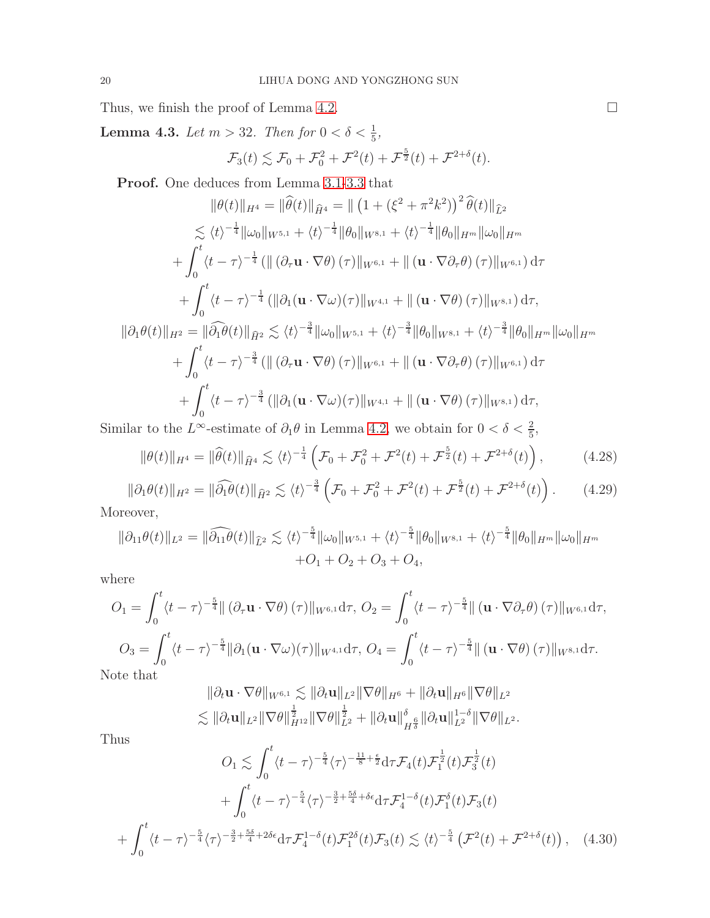Thus, we finish the proof of Lemma [4.2.](#page-16-1)  $\Box$ 

<span id="page-19-2"></span>**Lemma 4.3.** Let  $m > 32$ . Then for  $0 < \delta < \frac{1}{5}$ ,  $\mathcal{F}_3(t) \lesssim \mathcal{F}_0 + \mathcal{F}_0^2 + \mathcal{F}^2(t) + \mathcal{F}^{\frac{5}{2}}(t) + \mathcal{F}^{2+\delta}(t).$ 

Proof. One deduces from Lemma [3.1](#page-5-3)[-3.3](#page-8-3) that

$$
\|\theta(t)\|_{H^{4}} = \|\widehat{\theta}(t)\|_{\widehat{H}^{4}} = \|\left(1 + (\xi^{2} + \pi^{2}k^{2})\right)^{2}\widehat{\theta}(t)\|_{\widehat{L}^{2}}\n\lesssim \langle t \rangle^{-\frac{1}{4}}\|\omega_{0}\|_{W^{5,1}} + \langle t \rangle^{-\frac{1}{4}}\|\theta_{0}\|_{W^{8,1}} + \langle t \rangle^{-\frac{1}{4}}\|\theta_{0}\|_{H^{m}}\|\omega_{0}\|_{H^{m}}\n+ \int_{0}^{t} \langle t - \tau \rangle^{-\frac{1}{4}} \left(\|\left(\partial_{\tau} \mathbf{u} \cdot \nabla \theta\right)(\tau)\|_{W^{6,1}} + \|\left(\mathbf{u} \cdot \nabla \partial_{\tau} \theta\right)(\tau)\|_{W^{6,1}}\right) d\tau \n+ \int_{0}^{t} \langle t - \tau \rangle^{-\frac{1}{4}} \left(\|\partial_{1} (\mathbf{u} \cdot \nabla \omega)(\tau)\|_{W^{4,1}} + \|\left(\mathbf{u} \cdot \nabla \theta\right)(\tau)\|_{W^{8,1}}\right) d\tau,\n\|\partial_{1}\theta(t)\|_{H^{2}} = \|\widehat{\partial_{1}}\theta(t)\|_{\widehat{H}^{2}} \lesssim \langle t \rangle^{-\frac{3}{4}}\|\omega_{0}\|_{W^{5,1}} + \langle t \rangle^{-\frac{3}{4}}\|\theta_{0}\|_{W^{8,1}} + \langle t \rangle^{-\frac{3}{4}}\|\theta_{0}\|_{H^{m}}\|\omega_{0}\|_{H^{m}}\n+ \int_{0}^{t} \langle t - \tau \rangle^{-\frac{3}{4}} \left(\|\left(\partial_{\tau} \mathbf{u} \cdot \nabla \theta\right)(\tau)\|_{W^{6,1}} + \|\left(\mathbf{u} \cdot \nabla \partial_{\tau} \theta\right)(\tau)\|_{W^{6,1}}\right) d\tau \n+ \int_{0}^{t} \langle t - \tau \rangle^{-\frac{3}{4}} \left(\|\partial_{1} (\mathbf{u} \cdot \nabla \omega)(\tau)\|_{W^{4,1}} + \|\left(\mathbf{u} \cdot \nabla \theta\right)(\tau)\|_{W^{8,1}}\right) d\tau,\n\text{isible to the } L^
$$

Similar to the L<sup>∞</sup>-estimate of  $\partial_1 \theta$  in Lemma [4.2,](#page-16-1) we obtain for  $0 < \delta < \frac{2}{5}$ ,

$$
\|\theta(t)\|_{H^4} = \|\widehat{\theta}(t)\|_{\widehat{H}^4} \lesssim \langle t \rangle^{-\frac{1}{4}} \left( \mathcal{F}_0 + \mathcal{F}_0^2 + \mathcal{F}^2(t) + \mathcal{F}^{\frac{5}{2}}(t) + \mathcal{F}^{2+\delta}(t) \right),\tag{4.28}
$$

<span id="page-19-1"></span>
$$
\|\partial_1\theta(t)\|_{H^2} = \|\widehat{\partial_1\theta}(t)\|_{\widehat{H}^2} \lesssim \langle t \rangle^{-\frac{3}{4}} \left(\mathcal{F}_0 + \mathcal{F}_0^2 + \mathcal{F}^2(t) + \mathcal{F}^{\frac{5}{2}}(t) + \mathcal{F}^{2+\delta}(t)\right). \tag{4.29}
$$

Moreover,

$$
\|\partial_{11}\theta(t)\|_{L^2} = \|\widehat{\partial_{11}}\theta(t)\|_{\widehat{L}^2} \lesssim \langle t \rangle^{-\frac{5}{4}} \|\omega_0\|_{W^{5,1}} + \langle t \rangle^{-\frac{5}{4}} \|\theta_0\|_{W^{8,1}} + \langle t \rangle^{-\frac{5}{4}} \|\theta_0\|_{H^m} \|\omega_0\|_{H^m}
$$
  
+ $O_1 + O_2 + O_3 + O_4$ ,

where

$$
O_1 = \int_0^t \langle t - \tau \rangle^{-\frac{5}{4}} || (\partial_\tau \mathbf{u} \cdot \nabla \theta)(\tau) ||_{W^{6,1}} d\tau, O_2 = \int_0^t \langle t - \tau \rangle^{-\frac{5}{4}} || (\mathbf{u} \cdot \nabla \partial_\tau \theta)(\tau) ||_{W^{6,1}} d\tau,
$$
  
\n
$$
O_3 = \int_0^t \langle t - \tau \rangle^{-\frac{5}{4}} || \partial_1 (\mathbf{u} \cdot \nabla \omega)(\tau) ||_{W^{4,1}} d\tau, O_4 = \int_0^t \langle t - \tau \rangle^{-\frac{5}{4}} || (\mathbf{u} \cdot \nabla \theta)(\tau) ||_{W^{8,1}} d\tau.
$$

Note that

$$
\|\partial_t \mathbf{u} \cdot \nabla \theta\|_{W^{6,1}} \lesssim \|\partial_t \mathbf{u}\|_{L^2} \|\nabla \theta\|_{H^6} + \|\partial_t \mathbf{u}\|_{H^6} \|\nabla \theta\|_{L^2} \lesssim \|\partial_t \mathbf{u}\|_{L^2} \|\nabla \theta\|_{H^{12}}^{\frac{1}{2}} \|\nabla \theta\|_{L^2}^{\frac{1}{2}} + \|\partial_t \mathbf{u}\|_{H^{\frac{6}{5}}}^{\delta} \|\partial_t \mathbf{u}\|_{L^2}^{1-\delta} \|\nabla \theta\|_{L^2}.
$$

Thus

<span id="page-19-0"></span>
$$
O_1 \lesssim \int_0^t \langle t - \tau \rangle^{-\frac{5}{4}} \langle \tau \rangle^{-\frac{11}{8} + \frac{\epsilon}{2}} d\tau \mathcal{F}_4(t) \mathcal{F}_1^{\frac{1}{2}}(t) \mathcal{F}_3^{\frac{1}{2}}(t)
$$
  
+ 
$$
\int_0^t \langle t - \tau \rangle^{-\frac{5}{4}} \langle \tau \rangle^{-\frac{3}{2} + \frac{5\delta}{4} + \delta\epsilon} d\tau \mathcal{F}_4^{1 - \delta}(t) \mathcal{F}_1^{\delta}(t) \mathcal{F}_3(t)
$$
  
+ 
$$
\int_0^t \langle t - \tau \rangle^{-\frac{5}{4}} \langle \tau \rangle^{-\frac{3}{2} + \frac{5\delta}{4} + 2\delta\epsilon} d\tau \mathcal{F}_4^{1 - \delta}(t) \mathcal{F}_1^{2\delta}(t) \mathcal{F}_3(t) \lesssim \langle t \rangle^{-\frac{5}{4}} \left( \mathcal{F}^2(t) + \mathcal{F}^{2 + \delta}(t) \right), \quad (4.30)
$$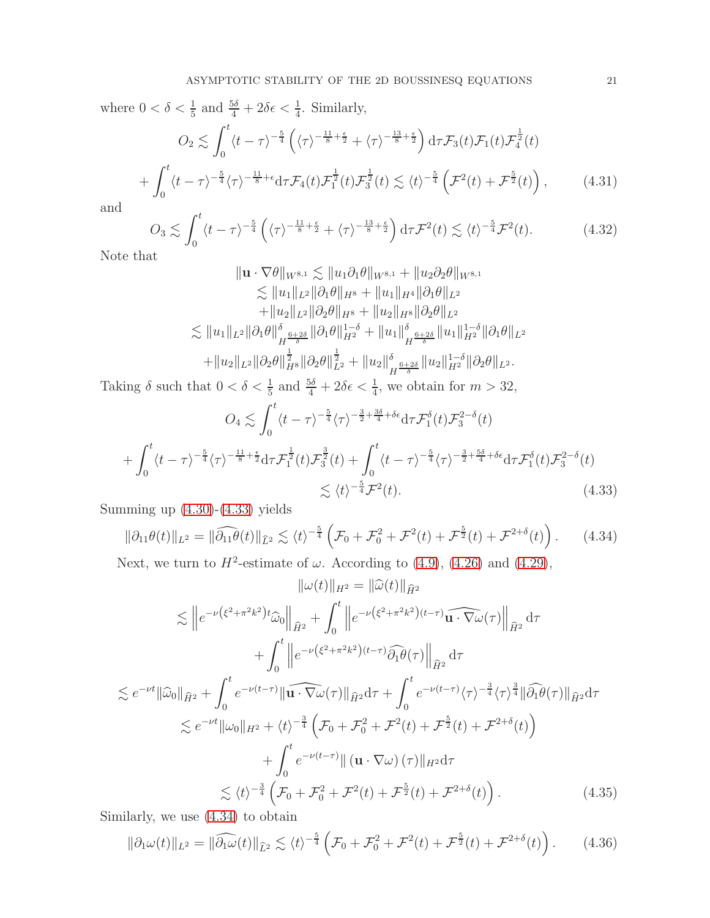where  $0 < \delta < \frac{1}{5}$  and  $\frac{5\delta}{4} + 2\delta\epsilon < \frac{1}{4}$ . Similarly,

$$
O_2 \lesssim \int_0^t \langle t - \tau \rangle^{-\frac{5}{4}} \left( \langle \tau \rangle^{-\frac{11}{8} + \frac{\epsilon}{2}} + \langle \tau \rangle^{-\frac{13}{8} + \frac{\epsilon}{2}} \right) d\tau \mathcal{F}_3(t) \mathcal{F}_1(t) \mathcal{F}_4^{\frac{1}{2}}(t)
$$

$$
+ \int_0^t \langle t - \tau \rangle^{-\frac{5}{4}} \langle \tau \rangle^{-\frac{11}{8} + \epsilon} d\tau \mathcal{F}_4(t) \mathcal{F}_1^{\frac{1}{2}}(t) \mathcal{F}_3^{\frac{1}{2}}(t) \lesssim \langle t \rangle^{-\frac{5}{4}} \left( \mathcal{F}^2(t) + \mathcal{F}_2^{\frac{5}{2}}(t) \right), \tag{4.31}
$$

and

$$
O_3 \lesssim \int_0^t \langle t - \tau \rangle^{-\frac{5}{4}} \left( \langle \tau \rangle^{-\frac{11}{8} + \frac{\epsilon}{2}} + \langle \tau \rangle^{-\frac{13}{8} + \frac{\epsilon}{2}} \right) d\tau \mathcal{F}^2(t) \lesssim \langle t \rangle^{-\frac{5}{4}} \mathcal{F}^2(t). \tag{4.32}
$$

Note that

$$
\|\mathbf{u} \cdot \nabla \theta\|_{W^{8,1}} \lesssim \|u_1 \partial_1 \theta\|_{W^{8,1}} + \|u_2 \partial_2 \theta\|_{W^{8,1}} \n\lesssim \|u_1\|_{L^2} \|\partial_1 \theta\|_{H^8} + \|u_1\|_{H^4} \|\partial_1 \theta\|_{L^2} \n+ \|u_2\|_{L^2} \|\partial_2 \theta\|_{H^8} + \|u_2\|_{H^8} \|\partial_2 \theta\|_{L^2} \n\lesssim \|u_1\|_{L^2} \|\partial_1 \theta\|_{H^{\frac{6+2\delta}{\delta}}}^{\delta} \|\partial_1 \theta\|_{H^2}^{1-\delta} + \|u_1\|_{H^{\frac{6+2\delta}{\delta}}}^{\delta} \|u_1\|_{H^2}^{1-\delta} \|\partial_1 \theta\|_{L^2} \n+ \|u_2\|_{L^2} \|\partial_2 \theta\|_{H^8}^{\frac{1}{2}} \|\partial_2 \theta\|_{L^2}^{\frac{1}{2}} + \|u_2\|_{H^{\frac{6+2\delta}{\delta}}}^{\delta} \|u_2\|_{H^2}^{1-\delta} \|\partial_2 \theta\|_{L^2}.
$$

Taking  $\delta$  such that  $0 < \delta < \frac{1}{5}$  and  $\frac{5\delta}{4} + 2\delta\epsilon < \frac{1}{4}$ , we obtain for  $m > 32$ ,

$$
O_4 \lesssim \int_0^t \langle t - \tau \rangle^{-\frac{5}{4}} \langle \tau \rangle^{-\frac{3}{2} + \frac{3\delta}{4} + \delta \epsilon} d\tau \mathcal{F}_1^{\delta}(t) \mathcal{F}_3^{2-\delta}(t)
$$
  
+ 
$$
\int_0^t \langle t - \tau \rangle^{-\frac{5}{4}} \langle \tau \rangle^{-\frac{11}{8} + \frac{\epsilon}{2}} d\tau \mathcal{F}_1^{\frac{1}{2}}(t) \mathcal{F}_3^{\frac{3}{2}}(t) + \int_0^t \langle t - \tau \rangle^{-\frac{5}{4}} \langle \tau \rangle^{-\frac{3}{2} + \frac{5\delta}{4} + \delta \epsilon} d\tau \mathcal{F}_1^{\delta}(t) \mathcal{F}_3^{2-\delta}(t)
$$
  

$$
\lesssim \langle t \rangle^{-\frac{5}{4}} \mathcal{F}^2(t). \tag{4.33}
$$

Summing up  $(4.30)-(4.33)$  $(4.30)-(4.33)$  yields

<span id="page-20-1"></span><span id="page-20-0"></span>
$$
\|\partial_{11}\theta(t)\|_{L^2} = \|\widehat{\partial_{11}}\theta(t)\|_{\widehat{L}^2} \lesssim \langle t \rangle^{-\frac{5}{4}} \left(\mathcal{F}_0 + \mathcal{F}_0^2 + \mathcal{F}^2(t) + \mathcal{F}^{\frac{5}{2}}(t) + \mathcal{F}^{2+\delta}(t)\right). \tag{4.34}
$$

Next, we turn to  $H^2$ -estimate of  $\omega$ . According to [\(4.9\)](#page-14-3), [\(4.26\)](#page-18-1) and [\(4.29\)](#page-19-1),

$$
\|\omega(t)\|_{H^2} = \|\widehat{\omega}(t)\|_{\widehat{H}^2}
$$
  
\n
$$
\lesssim \|e^{-\nu(\xi^2 + \pi^2 k^2)t}\widehat{\omega}_0\|_{\widehat{H}^2} + \int_0^t \|e^{-\nu(\xi^2 + \pi^2 k^2)(t-\tau)}\widehat{\omega}_1 \widehat{\omega}_0\|_{\widehat{H}^2} d\tau
$$
  
\n
$$
+ \int_0^t \|e^{-\nu(\xi^2 + \pi^2 k^2)(t-\tau)}\widehat{\partial}_1 \theta(\tau)\|_{\widehat{H}^2} d\tau
$$
  
\n
$$
\lesssim e^{-\nu t} \|\widehat{\omega}_0\|_{\widehat{H}^2} + \int_0^t e^{-\nu(t-\tau)} \|\widehat{\omega}_1 \widehat{\omega}_2 \widehat{\omega}_1\|_{\widehat{H}^2} d\tau + \int_0^t e^{-\nu(t-\tau)} \langle \tau \rangle^{-\frac{3}{4}} \langle \tau \rangle^{\frac{3}{4}} \|\widehat{\partial}_1 \theta(\tau)\|_{\widehat{H}^2} d\tau
$$
  
\n
$$
\lesssim e^{-\nu t} \|\omega_0\|_{H^2} + \langle t \rangle^{-\frac{3}{4}} \left(\mathcal{F}_0 + \mathcal{F}_0^2 + \mathcal{F}^2(t) + \mathcal{F}^{\frac{5}{2}}(t) + \mathcal{F}^{2+\delta}(t)\right)
$$
  
\n
$$
+ \int_0^t e^{-\nu(t-\tau)} \|\left(\mathbf{u} \cdot \nabla \omega\right)(\tau)\|_{H^2} d\tau
$$
  
\n
$$
\lesssim \langle t \rangle^{-\frac{3}{4}} \left(\mathcal{F}_0 + \mathcal{F}_0^2 + \mathcal{F}^2(t) + \mathcal{F}^{\frac{5}{2}}(t) + \mathcal{F}^{2+\delta}(t)\right).
$$
  
\n(4.35)

Similarly, we use [\(4.34\)](#page-20-1) to obtain

<span id="page-20-3"></span><span id="page-20-2"></span>
$$
\|\partial_1\omega(t)\|_{L^2} = \|\widehat{\partial_1\omega}(t)\|_{\widehat{L}^2} \lesssim \langle t \rangle^{-\frac{5}{4}} \left(\mathcal{F}_0 + \mathcal{F}_0^2 + \mathcal{F}^2(t) + \mathcal{F}^{\frac{5}{2}}(t) + \mathcal{F}^{2+\delta}(t)\right). \tag{4.36}
$$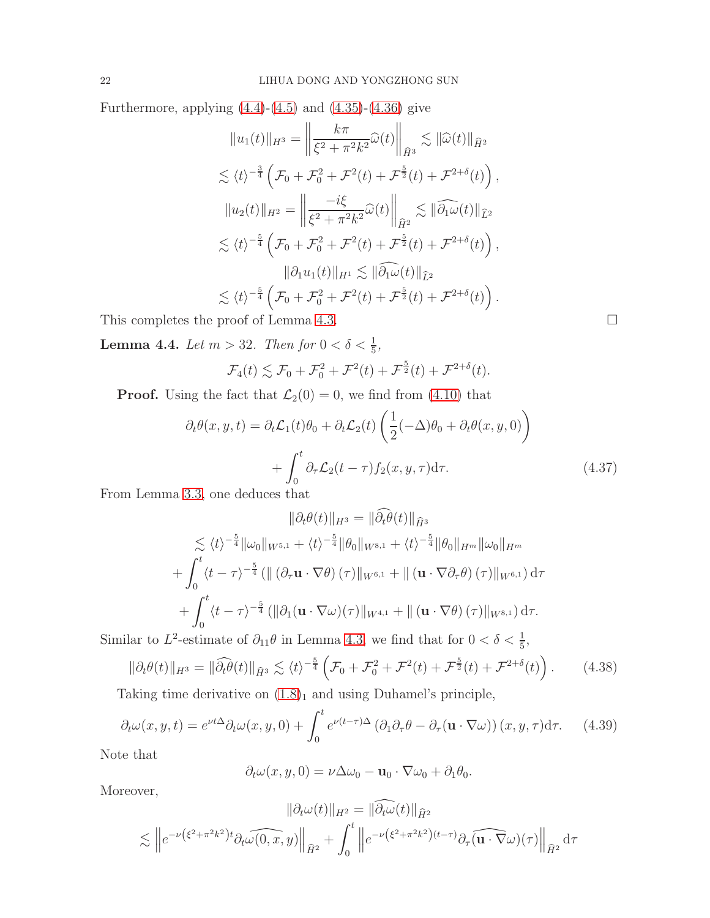Furthermore, applying  $(4.4)-(4.5)$  $(4.4)-(4.5)$  and  $(4.35)-(4.36)$  $(4.35)-(4.36)$  give

$$
||u_1(t)||_{H^3} = \left\|\frac{k\pi}{\xi^2 + \pi^2 k^2}\widehat{\omega}(t)\right\|_{\widehat{H}^3} \lesssim ||\widehat{\omega}(t)||_{\widehat{H}^2}
$$
  
\n
$$
\lesssim \langle t \rangle^{-\frac{3}{4}} \left(\mathcal{F}_0 + \mathcal{F}_0^2 + \mathcal{F}^2(t) + \mathcal{F}^{\frac{5}{2}}(t) + \mathcal{F}^{2+\delta}(t)\right),
$$
  
\n
$$
||u_2(t)||_{H^2} = \left\|\frac{-i\xi}{\xi^2 + \pi^2 k^2}\widehat{\omega}(t)\right\|_{\widehat{H}^2} \lesssim ||\widehat{\partial_1\omega}(t)||_{\widehat{L}^2}
$$
  
\n
$$
\lesssim \langle t \rangle^{-\frac{5}{4}} \left(\mathcal{F}_0 + \mathcal{F}_0^2 + \mathcal{F}^2(t) + \mathcal{F}^{\frac{5}{2}}(t) + \mathcal{F}^{2+\delta}(t)\right),
$$
  
\n
$$
||\partial_1 u_1(t)||_{H^1} \lesssim ||\widehat{\partial_1\omega}(t)||_{\widehat{L}^2}
$$
  
\n
$$
\lesssim \langle t \rangle^{-\frac{5}{4}} \left(\mathcal{F}_0 + \mathcal{F}_0^2 + \mathcal{F}^2(t) + \mathcal{F}^{\frac{5}{2}}(t) + \mathcal{F}^{2+\delta}(t)\right).
$$

This completes the proof of Lemma [4.3.](#page-19-2)  $\Box$ 

<span id="page-21-1"></span>**Lemma 4.4.** Let  $m > 32$ . Then for  $0 < \delta < \frac{1}{5}$ ,

$$
\mathcal{F}_4(t) \lesssim \mathcal{F}_0 + \mathcal{F}_0^2 + \mathcal{F}^2(t) + \mathcal{F}^{\frac{5}{2}}(t) + \mathcal{F}^{2+\delta}(t).
$$

**Proof.** Using the fact that  $\mathcal{L}_2(0) = 0$ , we find from [\(4.10\)](#page-14-2) that

$$
\partial_t \theta(x, y, t) = \partial_t \mathcal{L}_1(t) \theta_0 + \partial_t \mathcal{L}_2(t) \left( \frac{1}{2} (-\Delta) \theta_0 + \partial_t \theta(x, y, 0) \right) + \int_0^t \partial_\tau \mathcal{L}_2(t - \tau) f_2(x, y, \tau) d\tau.
$$
 (4.37)

From Lemma [3.3,](#page-8-3) one deduces that

$$
\|\partial_t \theta(t)\|_{H^3} = \|\tilde{\partial}_t \tilde{\theta}(t)\|_{\tilde{H}^3}
$$
  
\n
$$
\lesssim \langle t \rangle^{-\frac{5}{4}} \|\omega_0\|_{W^{5,1}} + \langle t \rangle^{-\frac{5}{4}} \|\theta_0\|_{W^{8,1}} + \langle t \rangle^{-\frac{5}{4}} \|\theta_0\|_{H^m} \|\omega_0\|_{H^m}
$$
  
\n
$$
+ \int_0^t \langle t - \tau \rangle^{-\frac{5}{4}} \left( \|\left(\partial_\tau \mathbf{u} \cdot \nabla \theta\right)(\tau)\|_{W^{6,1}} + \|\left(\mathbf{u} \cdot \nabla \partial_\tau \theta\right)(\tau)\|_{W^{6,1}} \right) d\tau
$$
  
\n
$$
+ \int_0^t \langle t - \tau \rangle^{-\frac{5}{4}} \left( \|\partial_1 (\mathbf{u} \cdot \nabla \omega)(\tau)\|_{W^{4,1}} + \|\left(\mathbf{u} \cdot \nabla \theta\right)(\tau)\|_{W^{8,1}} \right) d\tau.
$$

Similar to  $L^2$ -estimate of  $\partial_{11}\theta$  in Lemma [4.3,](#page-19-2) we find that for  $0 < \delta < \frac{1}{5}$ ,

<span id="page-21-0"></span>
$$
\|\partial_t \theta(t)\|_{H^3} = \|\widehat{\partial_t \theta}(t)\|_{\widehat{H}^3} \lesssim \langle t \rangle^{-\frac{5}{4}} \left(\mathcal{F}_0 + \mathcal{F}_0^2 + \mathcal{F}^2(t) + \mathcal{F}^{\frac{5}{2}}(t) + \mathcal{F}^{2+\delta}(t)\right). \tag{4.38}
$$

Taking time derivative on  $(1.8)<sub>1</sub>$  $(1.8)<sub>1</sub>$  $(1.8)<sub>1</sub>$  and using Duhamel's principle,

$$
\partial_t \omega(x, y, t) = e^{\nu t \Delta} \partial_t \omega(x, y, 0) + \int_0^t e^{\nu (t - \tau) \Delta} \left( \partial_1 \partial_\tau \theta - \partial_\tau (\mathbf{u} \cdot \nabla \omega) \right) (x, y, \tau) d\tau.
$$
 (4.39)

Note that

$$
\partial_t \omega(x, y, 0) = \nu \Delta \omega_0 - \mathbf{u}_0 \cdot \nabla \omega_0 + \partial_1 \theta_0.
$$

Moreover,

$$
\|\partial_t \omega(t)\|_{H^2} = \|\partial_t \omega(t)\|_{\hat{H}^2}
$$

$$
\lesssim \|e^{-\nu(\xi^2 + \pi^2 k^2)t} \partial_t \widehat{\omega(0, x, y)}\|_{\hat{H}^2} + \int_0^t \|e^{-\nu(\xi^2 + \pi^2 k^2)(t-\tau)} \partial_\tau \widehat{(\mathbf{u} \cdot \nabla \omega)}(\tau)\|_{\hat{H}^2} d\tau
$$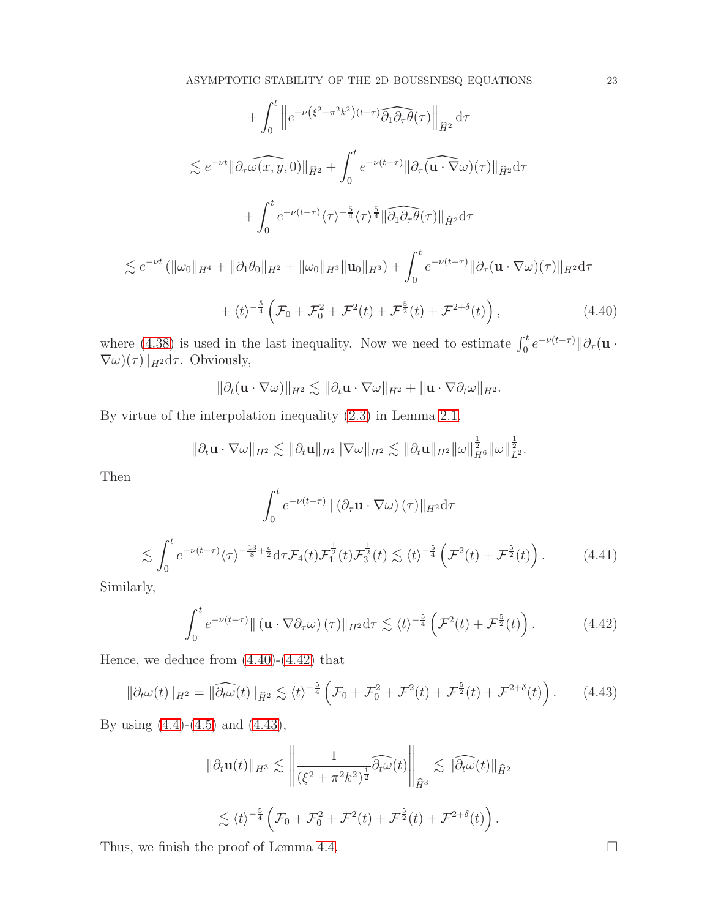$$
+ \int_{0}^{t} \left\| e^{-\nu(\xi^{2} + \pi^{2}k^{2})(t-\tau)} \widehat{\partial_{1}\partial_{\tau}\theta}(\tau) \right\|_{\widehat{H}^{2}} d\tau
$$
  
\n
$$
\lesssim e^{-\nu t} \|\partial_{\tau}\widehat{\omega(x,y,0)}\|_{\widehat{H}^{2}} + \int_{0}^{t} e^{-\nu(t-\tau)} \|\partial_{\tau}(\widehat{\mathbf{u} \cdot \nabla \omega})(\tau) \|_{\widehat{H}^{2}} d\tau
$$
  
\n
$$
+ \int_{0}^{t} e^{-\nu(t-\tau)} \langle \tau \rangle^{-\frac{5}{4}} \langle \tau \rangle^{\frac{5}{4}} \|\widehat{\partial_{1}\partial_{\tau}\theta}(\tau) \|_{\widehat{H}^{2}} d\tau
$$
  
\n
$$
\lesssim e^{-\nu t} (\|\omega_{0}\|_{H^{4}} + \|\partial_{1}\theta_{0}\|_{H^{2}} + \|\omega_{0}\|_{H^{3}} \|\mathbf{u}_{0}\|_{H^{3}}) + \int_{0}^{t} e^{-\nu(t-\tau)} \|\partial_{\tau}(\mathbf{u} \cdot \nabla \omega)(\tau) \|_{H^{2}} d\tau
$$
  
\n
$$
+ \langle t \rangle^{-\frac{5}{4}} \left( \mathcal{F}_{0} + \mathcal{F}_{0}^{2} + \mathcal{F}^{2}(t) + \mathcal{F}^{\frac{5}{2}}(t) + \mathcal{F}^{2+\delta}(t) \right), \qquad (4.40)
$$

where [\(4.38\)](#page-21-0) is used in the last inequality. Now we need to estimate  $\int_0^t e^{-\nu(t-\tau)} \|\partial_\tau (\mathbf{u} \cdot \mathbf{v})\|_2^2$  $\nabla \omega$  $(\tau)$ ||<sub>H2</sub>d $\tau$ . Obviously,

<span id="page-22-0"></span>
$$
\|\partial_t (\mathbf{u}\cdot\nabla\omega)\|_{H^2}\lesssim \|\partial_t \mathbf{u}\cdot\nabla\omega\|_{H^2}+\|\mathbf{u}\cdot\nabla\partial_t \omega\|_{H^2}.
$$

By virtue of the interpolation inequality [\(2.3\)](#page-3-3) in Lemma [2.1,](#page-3-2)

$$
\|\partial_t \mathbf{u} \cdot \nabla \omega\|_{H^2} \lesssim \|\partial_t \mathbf{u}\|_{H^2} \|\nabla \omega\|_{H^2} \lesssim \|\partial_t \mathbf{u}\|_{H^2} \|\omega\|_{H^6}^{\frac{1}{2}} \|\omega\|_{L^2}^{\frac{1}{2}}.
$$

Then

$$
\int_0^t e^{-\nu(t-\tau)} \| (\partial_\tau \mathbf{u} \cdot \nabla \omega) (\tau) \|_{H^2} d\tau
$$
  

$$
\lesssim \int_0^t e^{-\nu(t-\tau)} \langle \tau \rangle^{-\frac{13}{8} + \frac{\epsilon}{2}} d\tau \mathcal{F}_4(t) \mathcal{F}_1^{\frac{1}{2}}(t) \mathcal{F}_3^{\frac{1}{2}}(t) \lesssim \langle t \rangle^{-\frac{5}{4}} \left( \mathcal{F}^2(t) + \mathcal{F}_2^{\frac{5}{2}}(t) \right).
$$
 (4.41)

Similarly,

<span id="page-22-1"></span>
$$
\int_0^t e^{-\nu(t-\tau)} \| (\mathbf{u} \cdot \nabla \partial_\tau \omega)(\tau) \|_{H^2} d\tau \lesssim \langle t \rangle^{-\frac{5}{4}} \left( \mathcal{F}^2(t) + \mathcal{F}^{\frac{5}{2}}(t) \right). \tag{4.42}
$$

Hence, we deduce from [\(4.40\)](#page-22-0)-[\(4.42\)](#page-22-1) that

<span id="page-22-2"></span>
$$
\|\partial_t \omega(t)\|_{H^2} = \|\widehat{\partial_t \omega}(t)\|_{\widehat{H}^2} \lesssim \langle t \rangle^{-\frac{5}{4}} \left(\mathcal{F}_0 + \mathcal{F}_0^2 + \mathcal{F}^2(t) + \mathcal{F}^{\frac{5}{2}}(t) + \mathcal{F}^{2+\delta}(t)\right). \tag{4.43}
$$

By using [\(4.4\)](#page-13-2)-[\(4.5\)](#page-13-3) and [\(4.43\)](#page-22-2),

$$
\|\partial_t \mathbf{u}(t)\|_{H^3} \lesssim \left\| \frac{1}{(\xi^2 + \pi^2 k^2)^{\frac{1}{2}}} \widehat{\partial_t \omega}(t) \right\|_{\widehat{H}^3} \lesssim \|\widehat{\partial_t \omega}(t)\|_{\widehat{H}^2}
$$
  

$$
\lesssim \langle t \rangle^{-\frac{5}{4}} \left( \mathcal{F}_0 + \mathcal{F}_0^2 + \mathcal{F}^2(t) + \mathcal{F}^{\frac{5}{2}}(t) + \mathcal{F}^{2+\delta}(t) \right).
$$

Thus, we finish the proof of Lemma [4.4.](#page-21-1)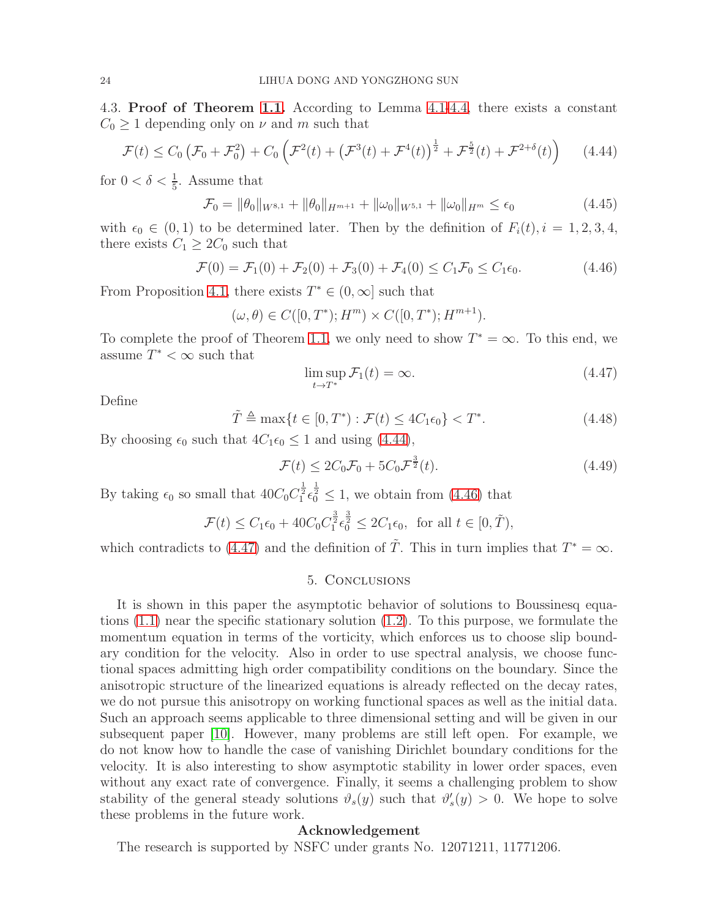4.3. Proof of Theorem [1.1.](#page-1-7) According to Lemma [4.1](#page-14-4)[-4.4,](#page-21-1) there exists a constant  $C_0 \geq 1$  depending only on  $\nu$  and m such that

<span id="page-23-0"></span>
$$
\mathcal{F}(t) \le C_0 \left( \mathcal{F}_0 + \mathcal{F}_0^2 \right) + C_0 \left( \mathcal{F}^2(t) + \left( \mathcal{F}^3(t) + \mathcal{F}^4(t) \right)^{\frac{1}{2}} + \mathcal{F}^{\frac{5}{2}}(t) + \mathcal{F}^{2+\delta}(t) \right) \tag{4.44}
$$

for  $0 < \delta < \frac{1}{5}$ . Assume that

$$
\mathcal{F}_0 = \|\theta_0\|_{W^{8,1}} + \|\theta_0\|_{H^{m+1}} + \|\omega_0\|_{W^{5,1}} + \|\omega_0\|_{H^m} \le \epsilon_0 \tag{4.45}
$$

with  $\epsilon_0 \in (0,1)$  to be determined later. Then by the definition of  $F_i(t)$ ,  $i = 1, 2, 3, 4$ , there exists  $C_1 \geq 2C_0$  such that

<span id="page-23-1"></span>
$$
\mathcal{F}(0) = \mathcal{F}_1(0) + \mathcal{F}_2(0) + \mathcal{F}_3(0) + \mathcal{F}_4(0) \le C_1 \mathcal{F}_0 \le C_1 \epsilon_0.
$$
 (4.46)

From Proposition [4.1,](#page-13-0) there exists  $T^* \in (0, \infty]$  such that

$$
(\omega, \theta) \in C([0, T^*); H^m) \times C([0, T^*); H^{m+1}).
$$

To complete the proof of Theorem [1.1,](#page-1-7) we only need to show  $T^* = \infty$ . To this end, we assume  $T^* < \infty$  such that

<span id="page-23-2"></span>
$$
\limsup_{t \to T^*} \mathcal{F}_1(t) = \infty. \tag{4.47}
$$

Define

$$
\tilde{T} \triangleq \max\{t \in [0, T^*): \mathcal{F}(t) \le 4C_1\epsilon_0\} < T^*.\tag{4.48}
$$

By choosing  $\epsilon_0$  such that  $4C_1\epsilon_0 \leq 1$  and using [\(4.44\)](#page-23-0),

$$
\mathcal{F}(t) \le 2C_0 \mathcal{F}_0 + 5C_0 \mathcal{F}^{\frac{3}{2}}(t). \tag{4.49}
$$

By taking  $\epsilon_0$  so small that  $40C_0C_1^{\frac{1}{2}}\epsilon_0^{\frac{1}{2}} \le 1$ , we obtain from [\(4.46\)](#page-23-1) that

$$
\mathcal{F}(t) \le C_1 \epsilon_0 + 40C_0 C_1^{\frac{3}{2}} \epsilon_0^{\frac{3}{2}} \le 2C_1 \epsilon_0, \text{ for all } t \in [0, \tilde{T}),
$$

which contradicts to [\(4.47\)](#page-23-2) and the definition of  $\tilde{T}$ . This in turn implies that  $T^* = \infty$ .

### 5. Conclusions

It is shown in this paper the asymptotic behavior of solutions to Boussinesq equations [\(1.1\)](#page-0-0) near the specific stationary solution [\(1.2\)](#page-1-3). To this purpose, we formulate the momentum equation in terms of the vorticity, which enforces us to choose slip boundary condition for the velocity. Also in order to use spectral analysis, we choose functional spaces admitting high order compatibility conditions on the boundary. Since the anisotropic structure of the linearized equations is already reflected on the decay rates, we do not pursue this anisotropy on working functional spaces as well as the initial data. Such an approach seems applicable to three dimensional setting and will be given in our subsequent paper [\[10\]](#page-24-23). However, many problems are still left open. For example, we do not know how to handle the case of vanishing Dirichlet boundary conditions for the velocity. It is also interesting to show asymptotic stability in lower order spaces, even without any exact rate of convergence. Finally, it seems a challenging problem to show stability of the general steady solutions  $\vartheta_s(y)$  such that  $\vartheta'_s(y) > 0$ . We hope to solve these problems in the future work.

#### Acknowledgement

The research is supported by NSFC under grants No. 12071211, 11771206.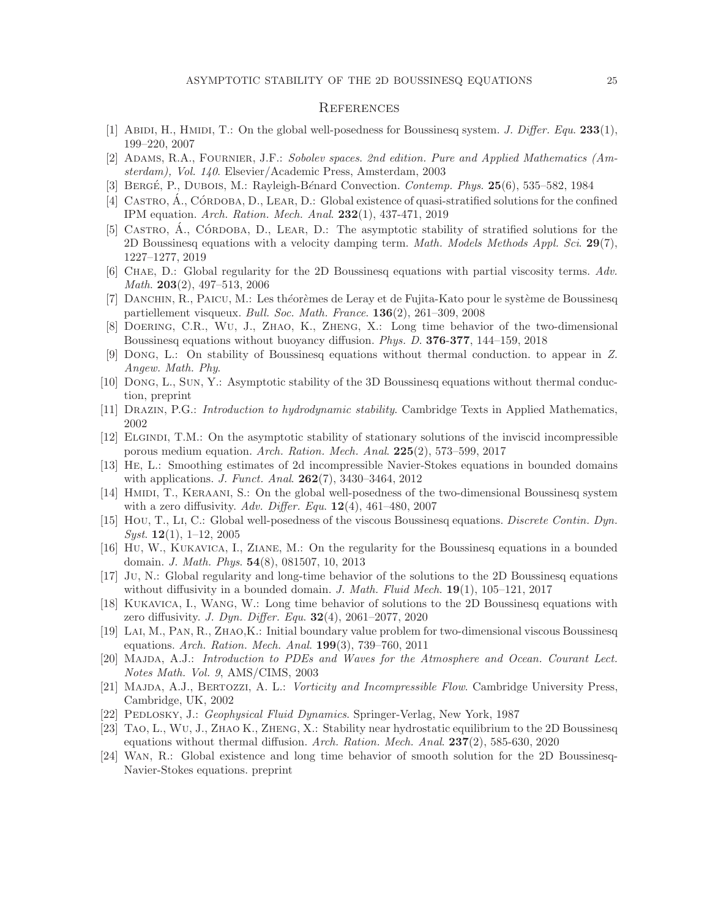## **REFERENCES**

- <span id="page-24-18"></span><span id="page-24-3"></span>[1] ABIDI, H., HMIDI, T.: On the global well-posedness for Boussinesq system. J. Differ. Equ.  $233(1)$ , 199–220, 2007
- <span id="page-24-17"></span>[2] ADAMS, R.A., FOURNIER, J.F.: Sobolev spaces. 2nd edition. Pure and Applied Mathematics (Amsterdam), Vol. 140. Elsevier/Academic Press, Amsterdam, 2003
- <span id="page-24-20"></span>[3] BERGÉ, P., DUBOIS, M.: Rayleigh-Bénard Convection. *Contemp. Phys.*  $25(6)$ , 535–582, 1984
- <span id="page-24-21"></span>[4] CASTRO,  $\hat{A}$ ., CÓRDOBA, D., LEAR, D.: Global existence of quasi-stratified solutions for the confined IPM equation. Arch. Ration. Mech. Anal. 232(1), 437-471, 2019
- [5] CASTRO, A., CÓRDOBA, D., LEAR, D.: The asymptotic stability of stratified solutions for the 2D Boussinesq equations with a velocity damping term. Math. Models Methods Appl. Sci. 29(7), 1227–1277, 2019
- <span id="page-24-4"></span>[6] Chae, D.: Global regularity for the 2D Boussinesq equations with partial viscosity terms. Adv. Math. 203(2), 497–513, 2006
- <span id="page-24-6"></span><span id="page-24-5"></span>[7] DANCHIN, R., PAICU, M.: Les théorèmes de Leray et de Fujita-Kato pour le système de Boussinesq partiellement visqueux. Bull. Soc. Math. France. 136(2), 261–309, 2008
- <span id="page-24-16"></span>[8] Doering, C.R., Wu, J., Zhao, K., Zheng, X.: Long time behavior of the two-dimensional Boussinesq equations without buoyancy diffusion. Phys. D. 376-377, 144–159, 2018
- [9] Dong, L.: On stability of Boussinesq equations without thermal conduction. to appear in Z. Angew. Math. Phy.
- <span id="page-24-23"></span><span id="page-24-0"></span>[10] Dong, L., Sun, Y.: Asymptotic stability of the 3D Boussinesq equations without thermal conduction, preprint
- <span id="page-24-22"></span>[11] Drazin, P.G.: Introduction to hydrodynamic stability. Cambridge Texts in Applied Mathematics, 2002
- [12] Elgindi, T.M.: On the asymptotic stability of stationary solutions of the inviscid incompressible porous medium equation. Arch. Ration. Mech. Anal. 225(2), 573–599, 2017
- <span id="page-24-7"></span>[13] He, L.: Smoothing estimates of 2d incompressible Navier-Stokes equations in bounded domains with applications. *J. Funct. Anal.* **262**(7), 3430-3464, 2012
- <span id="page-24-8"></span>[14] HMIDI, T., KERAANI, S.: On the global well-posedness of the two-dimensional Boussinesq system with a zero diffusivity. Adv. Differ. Equ.  $12(4)$ , 461–480, 2007
- <span id="page-24-9"></span>[15] Hou, T., Li, C.: Global well-posedness of the viscous Boussinesq equations. Discrete Contin. Dyn. *Syst.* **12**(1), 1–12, 2005
- <span id="page-24-10"></span>[16] Hu, W., Kukavica, I., Ziane, M.: On the regularity for the Boussinesq equations in a bounded domain. J. Math. Phys. 54(8), 081507, 10, 2013
- <span id="page-24-11"></span>[17] Ju, N.: Global regularity and long-time behavior of the solutions to the 2D Boussinesq equations without diffusivity in a bounded domain. J. Math. Fluid Mech.  $19(1)$ ,  $105-121$ ,  $2017$
- <span id="page-24-12"></span>[18] Kukavica, I., Wang, W.: Long time behavior of solutions to the 2D Boussinesq equations with zero diffusivity. *J. Dyn. Differ. Equ.*  $32(4)$ ,  $2061-2077$ ,  $2020$
- <span id="page-24-13"></span>[19] Lai, M., Pan, R., Zhao,K.: Initial boundary value problem for two-dimensional viscous Boussinesq equations. Arch. Ration. Mech. Anal. 199(3), 739–760, 2011
- <span id="page-24-1"></span>[20] MAJDA, A.J.: Introduction to PDEs and Waves for the Atmosphere and Ocean. Courant Lect. Notes Math. Vol. 9, AMS/CIMS, 2003
- <span id="page-24-19"></span>[21] Majda, A.J., Bertozzi, A. L.: Vorticity and Incompressible Flow. Cambridge University Press, Cambridge, UK, 2002
- <span id="page-24-14"></span><span id="page-24-2"></span>[22] PEDLOSKY, J.: Geophysical Fluid Dynamics. Springer-Verlag, New York, 1987
- [23] Tao, L., Wu, J., Zhao K., Zheng, X.: Stability near hydrostatic equilibrium to the 2D Boussinesq equations without thermal diffusion. Arch. Ration. Mech. Anal. 237(2), 585-630, 2020
- <span id="page-24-15"></span>[24] Wan, R.: Global existence and long time behavior of smooth solution for the 2D Boussinesq-Navier-Stokes equations. preprint